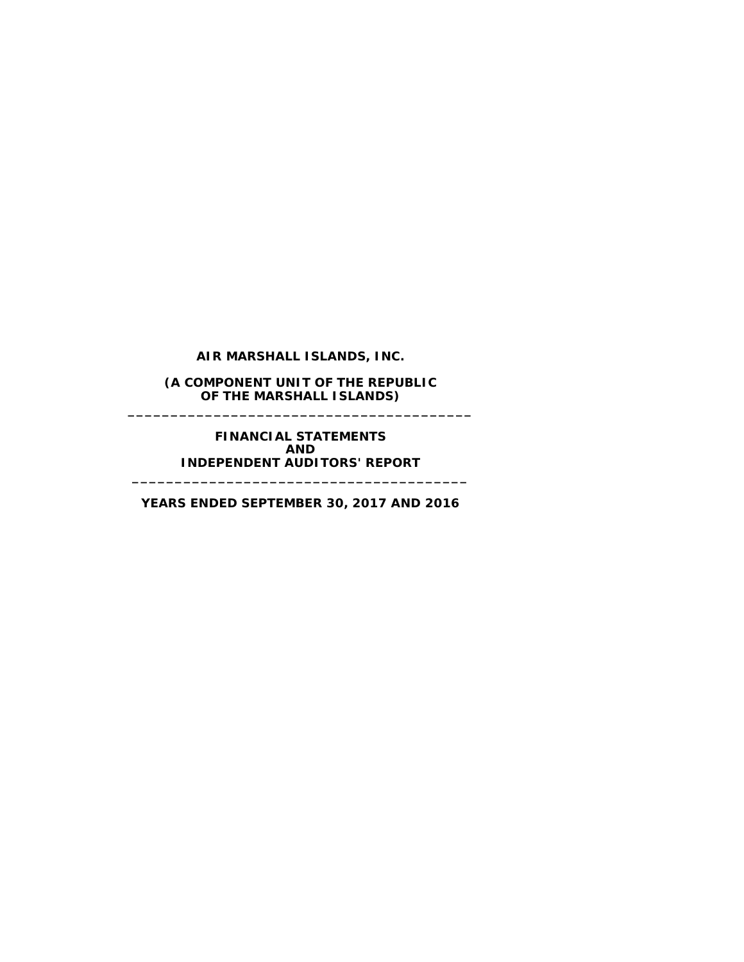**AIR MARSHALL ISLANDS, INC.**

**(A COMPONENT UNIT OF THE REPUBLIC OF THE MARSHALL ISLANDS) \_\_\_\_\_\_\_\_\_\_\_\_\_\_\_\_\_\_\_\_\_\_\_\_\_\_\_\_\_\_\_\_\_\_\_\_\_\_\_\_**

> **FINANCIAL STATEMENTS AND INDEPENDENT AUDITORS' REPORT**

**YEARS ENDED SEPTEMBER 30, 2017 AND 2016**

**\_\_\_\_\_\_\_\_\_\_\_\_\_\_\_\_\_\_\_\_\_\_\_\_\_\_\_\_\_\_\_\_\_\_\_\_\_\_\_**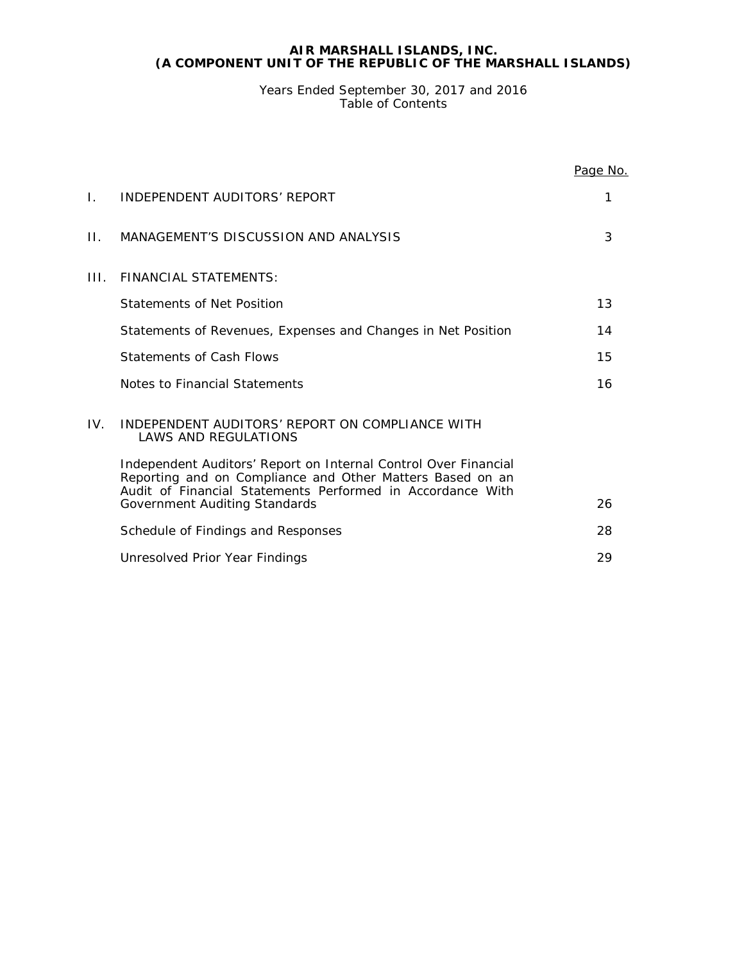Years Ended September 30, 2017 and 2016 Table of Contents

|     |                                                                                                                                                                                            | Page No. |
|-----|--------------------------------------------------------------------------------------------------------------------------------------------------------------------------------------------|----------|
| L.  | INDEPENDENT AUDITORS' REPORT                                                                                                                                                               | 1        |
| П.  | MANAGEMENT'S DISCUSSION AND ANALYSIS                                                                                                                                                       | 3        |
| HL. | <b>FINANCIAL STATEMENTS:</b>                                                                                                                                                               |          |
|     | Statements of Net Position                                                                                                                                                                 | 13       |
|     | Statements of Revenues, Expenses and Changes in Net Position                                                                                                                               | 14       |
|     | Statements of Cash Flows                                                                                                                                                                   | 15       |
|     | Notes to Financial Statements                                                                                                                                                              | 16       |
| IV. | INDEPENDENT AUDITORS' REPORT ON COMPLIANCE WITH<br><b>LAWS AND REGULATIONS</b>                                                                                                             |          |
|     | Independent Auditors' Report on Internal Control Over Financial<br>Reporting and on Compliance and Other Matters Based on an<br>Audit of Financial Statements Performed in Accordance With |          |
|     | <b>Government Auditing Standards</b>                                                                                                                                                       | 26       |
|     | Schedule of Findings and Responses                                                                                                                                                         | 28       |
|     | Unresolved Prior Year Findings                                                                                                                                                             | 29       |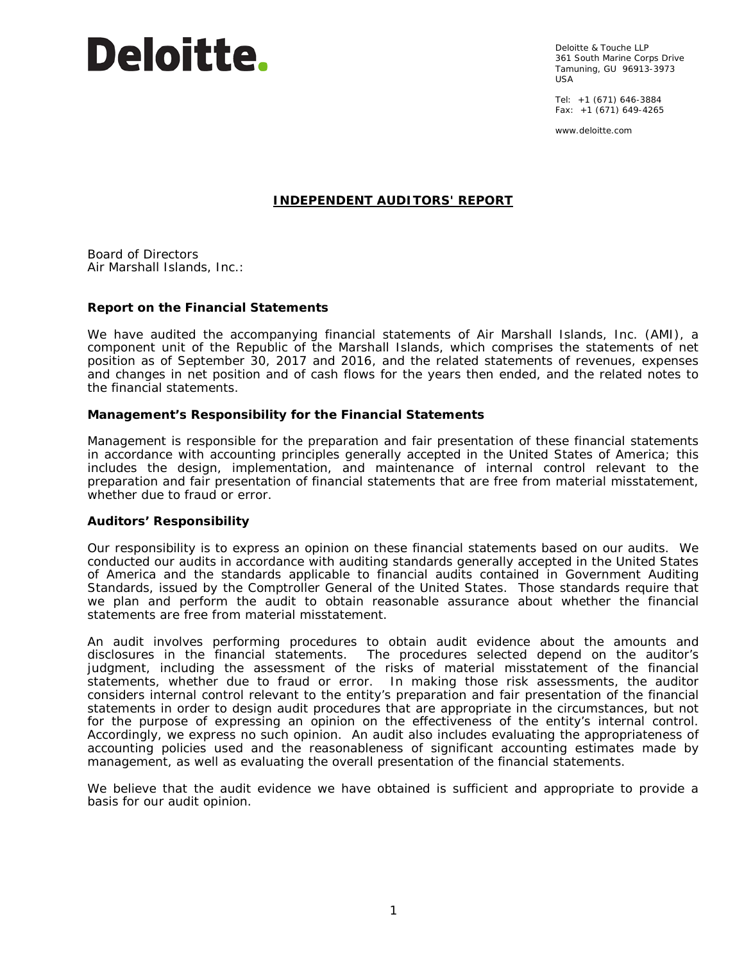# Deloitte.

Deloitte & Touche LLP 361 South Marine Corps Drive Tamuning, GU 96913-3973  $IISA$ 

Tel: +1 (671) 646-3884 Fax: +1 (671) 649-4265

www.deloitte.com

# **INDEPENDENT AUDITORS' REPORT**

Board of Directors Air Marshall Islands, Inc.:

# **Report on the Financial Statements**

We have audited the accompanying financial statements of Air Marshall Islands, Inc. (AMI), a component unit of the Republic of the Marshall Islands, which comprises the statements of net position as of September 30, 2017 and 2016, and the related statements of revenues, expenses and changes in net position and of cash flows for the years then ended, and the related notes to the financial statements.

# *Management's Responsibility for the Financial Statements*

Management is responsible for the preparation and fair presentation of these financial statements in accordance with accounting principles generally accepted in the United States of America; this includes the design, implementation, and maintenance of internal control relevant to the preparation and fair presentation of financial statements that are free from material misstatement, whether due to fraud or error.

#### *Auditors' Responsibility*

Our responsibility is to express an opinion on these financial statements based on our audits. We conducted our audits in accordance with auditing standards generally accepted in the United States of America and the standards applicable to financial audits contained in *Government Auditing Standards*, issued by the Comptroller General of the United States. Those standards require that we plan and perform the audit to obtain reasonable assurance about whether the financial statements are free from material misstatement.

An audit involves performing procedures to obtain audit evidence about the amounts and disclosures in the financial statements. The procedures selected depend on the auditor's judgment, including the assessment of the risks of material misstatement of the financial statements, whether due to fraud or error. In making those risk assessments, the auditor considers internal control relevant to the entity's preparation and fair presentation of the financial statements in order to design audit procedures that are appropriate in the circumstances, but not for the purpose of expressing an opinion on the effectiveness of the entity's internal control. Accordingly, we express no such opinion. An audit also includes evaluating the appropriateness of accounting policies used and the reasonableness of significant accounting estimates made by management, as well as evaluating the overall presentation of the financial statements.

We believe that the audit evidence we have obtained is sufficient and appropriate to provide a basis for our audit opinion.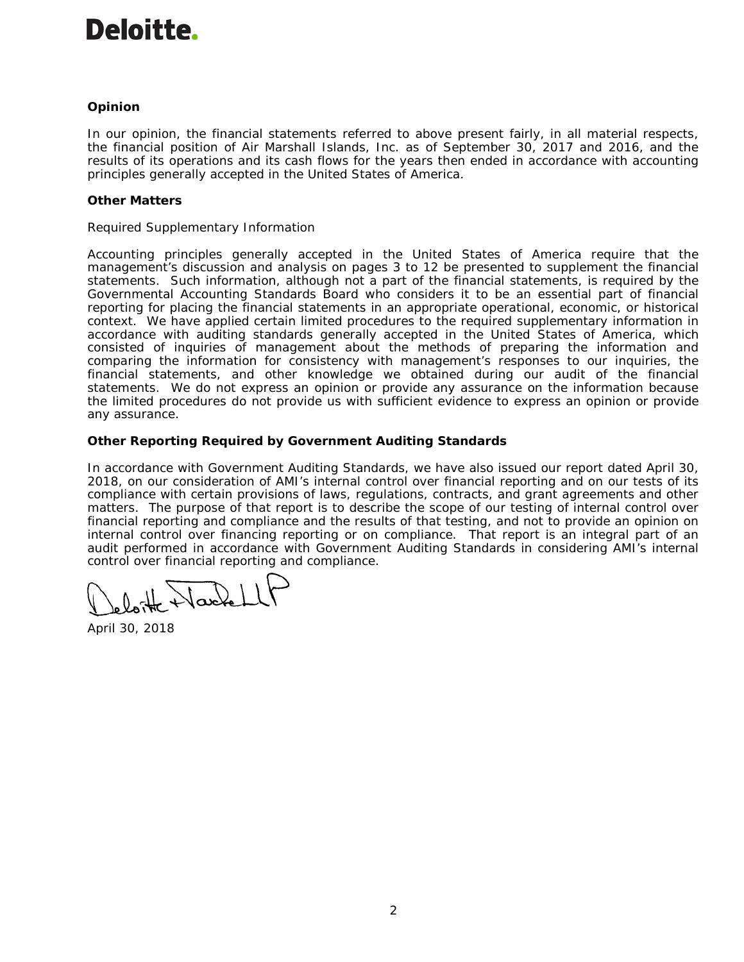# Deloitte.

# *Opinion*

In our opinion, the financial statements referred to above present fairly, in all material respects, the financial position of Air Marshall Islands, Inc. as of September 30, 2017 and 2016, and the results of its operations and its cash flows for the years then ended in accordance with accounting principles generally accepted in the United States of America.

# *Other Matters*

# *Required Supplementary Information*

Accounting principles generally accepted in the United States of America require that the management's discussion and analysis on pages 3 to 12 be presented to supplement the financial statements. Such information, although not a part of the financial statements, is required by the Governmental Accounting Standards Board who considers it to be an essential part of financial reporting for placing the financial statements in an appropriate operational, economic, or historical context. We have applied certain limited procedures to the required supplementary information in accordance with auditing standards generally accepted in the United States of America, which consisted of inquiries of management about the methods of preparing the information and comparing the information for consistency with management's responses to our inquiries, the financial statements, and other knowledge we obtained during our audit of the financial statements. We do not express an opinion or provide any assurance on the information because the limited procedures do not provide us with sufficient evidence to express an opinion or provide any assurance.

# **Other Reporting Required by** *Government Auditing Standards*

In accordance with *Government Auditing Standards*, we have also issued our report dated April 30, 2018, on our consideration of AMI's internal control over financial reporting and on our tests of its compliance with certain provisions of laws, regulations, contracts, and grant agreements and other matters. The purpose of that report is to describe the scope of our testing of internal control over financial reporting and compliance and the results of that testing, and not to provide an opinion on internal control over financing reporting or on compliance. That report is an integral part of an audit performed in accordance with *Government Auditing Standards* in considering AMI's internal control over financial reporting and compliance.

Jacket

April 30, 2018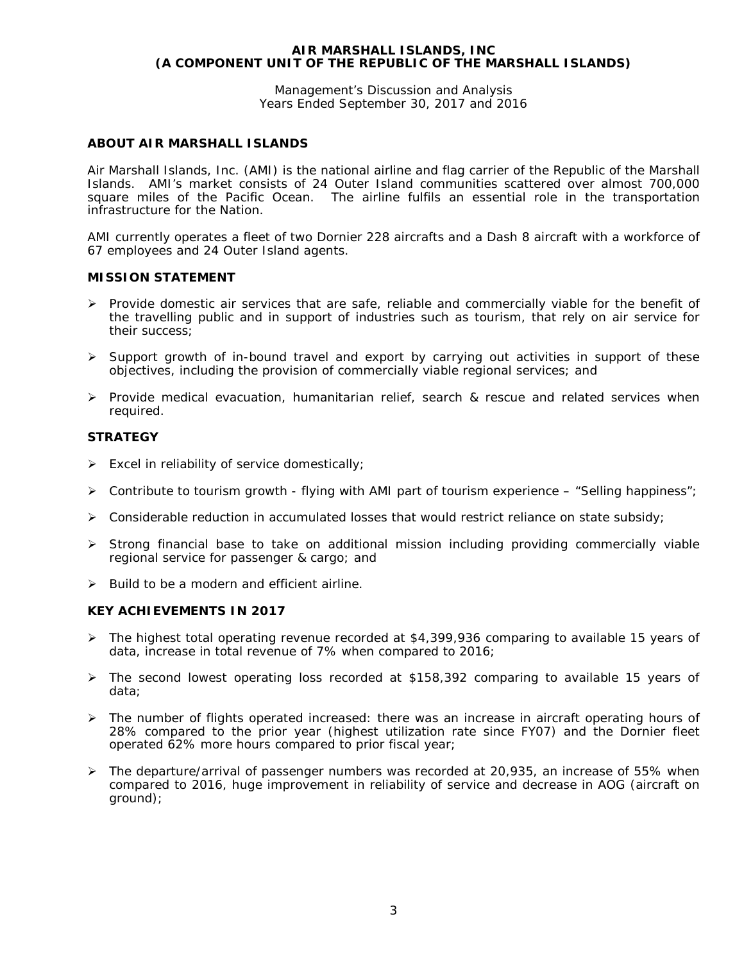Management's Discussion and Analysis Years Ended September 30, 2017 and 2016

# **ABOUT AIR MARSHALL ISLANDS**

Air Marshall Islands, Inc. (AMI) is the national airline and flag carrier of the Republic of the Marshall Islands. AMI's market consists of 24 Outer Island communities scattered over almost 700,000 square miles of the Pacific Ocean. The airline fulfils an essential role in the transportation infrastructure for the Nation.

AMI currently operates a fleet of two Dornier 228 aircrafts and a Dash 8 aircraft with a workforce of 67 employees and 24 Outer Island agents.

# **MISSION STATEMENT**

- $\triangleright$  Provide domestic air services that are safe, reliable and commercially viable for the benefit of the travelling public and in support of industries such as tourism, that rely on air service for their success;
- $\triangleright$  Support growth of in-bound travel and export by carrying out activities in support of these objectives, including the provision of commercially viable regional services; and
- $\triangleright$  Provide medical evacuation, humanitarian relief, search & rescue and related services when required.

#### **STRATEGY**

- $\triangleright$  Excel in reliability of service domestically;
- $\triangleright$  Contribute to tourism growth flying with AMI part of tourism experience "Selling happiness";
- $\triangleright$  Considerable reduction in accumulated losses that would restrict reliance on state subsidy;
- $\triangleright$  Strong financial base to take on additional mission including providing commercially viable regional service for passenger & cargo; and
- $\triangleright$  Build to be a modern and efficient airline.

#### **KEY ACHIEVEMENTS IN 2017**

- $\triangleright$  The highest total operating revenue recorded at \$4,399,936 comparing to available 15 years of data, increase in total revenue of 7% when compared to 2016;
- $\triangleright$  The second lowest operating loss recorded at \$158,392 comparing to available 15 years of data;
- $\triangleright$  The number of flights operated increased: there was an increase in aircraft operating hours of 28% compared to the prior year (highest utilization rate since FY07) and the Dornier fleet operated 62% more hours compared to prior fiscal year;
- $\triangleright$  The departure/arrival of passenger numbers was recorded at 20,935, an increase of 55% when compared to 2016, huge improvement in reliability of service and decrease in AOG (aircraft on ground);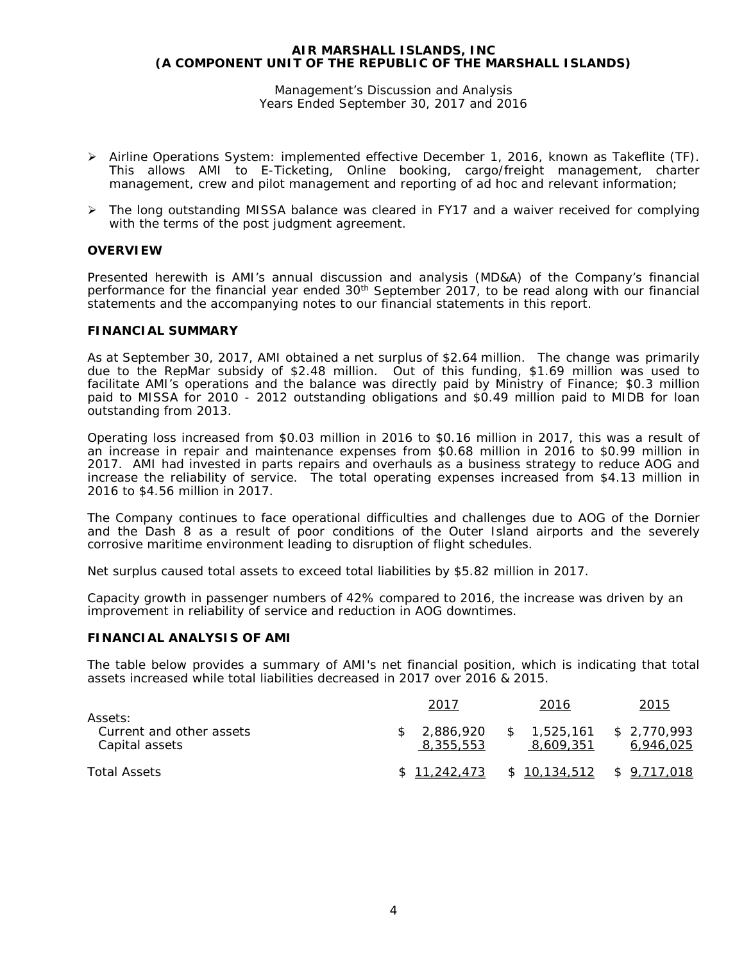Management's Discussion and Analysis Years Ended September 30, 2017 and 2016

- $\triangleright$  Airline Operations System: implemented effective December 1, 2016, known as Takeflite (TF). This allows AMI to E-Ticketing, Online booking, cargo/freight management, charter management, crew and pilot management and reporting of ad hoc and relevant information;
- The long outstanding MISSA balance was cleared in FY17 and a waiver received for complying with the terms of the post judgment agreement.

#### **OVERVIEW**

Presented herewith is AMI's annual discussion and analysis (MD&A) of the Company's financial performance for the financial year ended  $30<sup>th</sup>$  September 2017, to be read along with our financial statements and the accompanying notes to our financial statements in this report.

#### **FINANCIAL SUMMARY**

As at September 30, 2017, AMI obtained a net surplus of \$2.64 million. The change was primarily due to the RepMar subsidy of \$2.48 million. Out of this funding, \$1.69 million was used to facilitate AMI's operations and the balance was directly paid by Ministry of Finance; \$0.3 million paid to MISSA for 2010 - 2012 outstanding obligations and \$0.49 million paid to MIDB for loan outstanding from 2013.

Operating loss increased from \$0.03 million in 2016 to \$0.16 million in 2017, this was a result of an increase in repair and maintenance expenses from \$0.68 million in 2016 to \$0.99 million in 2017. AMI had invested in parts repairs and overhauls as a business strategy to reduce AOG and increase the reliability of service. The total operating expenses increased from \$4.13 million in 2016 to \$4.56 million in 2017.

The Company continues to face operational difficulties and challenges due to AOG of the Dornier and the Dash 8 as a result of poor conditions of the Outer Island airports and the severely corrosive maritime environment leading to disruption of flight schedules.

Net surplus caused total assets to exceed total liabilities by \$5.82 million in 2017.

Capacity growth in passenger numbers of 42% compared to 2016, the increase was driven by an improvement in reliability of service and reduction in AOG downtimes.

#### **FINANCIAL ANALYSIS OF AMI**

The table below provides a summary of AMI's net financial position, which is indicating that total assets increased while total liabilities decreased in 2017 over 2016 & 2015.

| Assets:                                    | 2017                   | 2016                     | 2015                      |
|--------------------------------------------|------------------------|--------------------------|---------------------------|
| Current and other assets<br>Capital assets | 2,886,920<br>8,355,553 | \$1.525.161<br>8,609,351 | \$ 2.770.993<br>6,946,025 |
| <b>Total Assets</b>                        | \$11,242,473           | \$10,134,512             | \$ 9,717,018              |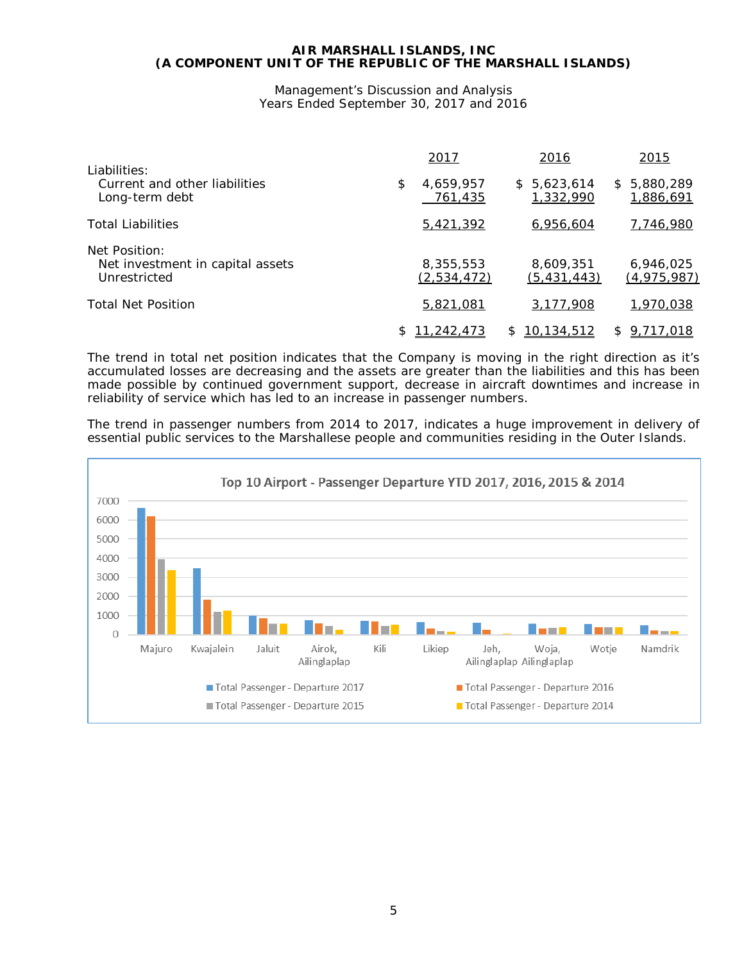Management's Discussion and Analysis Years Ended September 30, 2017 and 2016

| Liabilities:                                                      | 2017                       | 2016                       | 2015                       |
|-------------------------------------------------------------------|----------------------------|----------------------------|----------------------------|
| Current and other liabilities<br>Long-term debt                   | \$<br>4,659,957<br>761,435 | \$5,623,614<br>1,332,990   | \$ 5,880,289<br>1,886,691  |
| <b>Total Liabilities</b>                                          | 5,421,392                  | 6,956,604                  | 7,746,980                  |
| Net Position:<br>Net investment in capital assets<br>Unrestricted | 8,355,553<br>(2,534,472)   | 8,609,351<br>(5, 431, 443) | 6,946,025<br>(4, 975, 987) |
| <b>Total Net Position</b>                                         | 5,821,081                  | 3,177,908                  | 1,970,038                  |
|                                                                   | <u>11,242,473</u>          | <u>10,134,512</u><br>S.    | 9,717,018<br>\$.           |

The trend in total net position indicates that the Company is moving in the right direction as it's accumulated losses are decreasing and the assets are greater than the liabilities and this has been made possible by continued government support, decrease in aircraft downtimes and increase in reliability of service which has led to an increase in passenger numbers.

The trend in passenger numbers from 2014 to 2017, indicates a huge improvement *in delivery of essential public services to the Marshallese people and communities residing in the Outer Islands*.

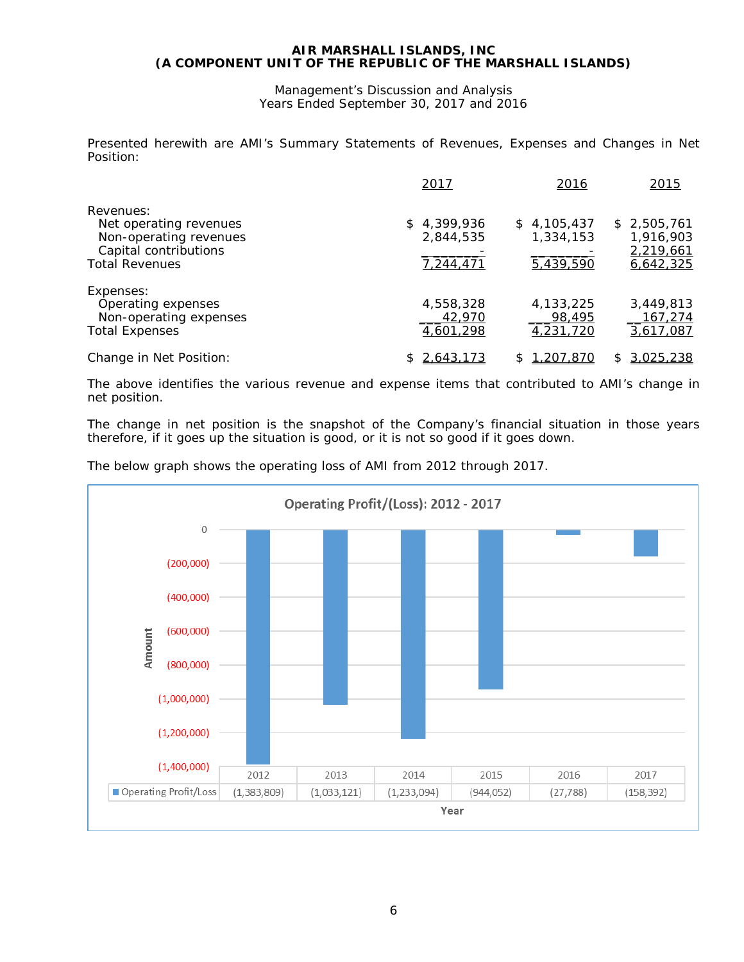Management's Discussion and Analysis Years Ended September 30, 2017 and 2016

Presented herewith are AMI's Summary Statements of Revenues, Expenses and Changes in Net Position:

|                                                                                                                 | 2017                                  | 2016                                  | 2015                                               |
|-----------------------------------------------------------------------------------------------------------------|---------------------------------------|---------------------------------------|----------------------------------------------------|
| Revenues:<br>Net operating revenues<br>Non-operating revenues<br>Capital contributions<br><b>Total Revenues</b> | \$4,399,936<br>2,844,535<br>7,244,471 | \$4,105,437<br>1,334,153<br>5,439,590 | \$2,505,761<br>1,916,903<br>2,219,661<br>6,642,325 |
| Expenses:<br>Operating expenses<br>Non-operating expenses<br><b>Total Expenses</b>                              | 4,558,328<br>42,970<br>4,601,298      | 4,133,225<br>98,495<br>4,231,720      | 3,449,813<br>167,274<br>3,617,087                  |
| Change in Net Position:                                                                                         | 2,643,173                             | <u>1,207,870</u><br>\$                | 3,025,238<br>S                                     |

The above identifies the various revenue and expense items that contributed to AMI's change in net position.

The change in net position is the snapshot of the Company's financial situation in those years therefore, if it goes up the situation is good, or it is not so good if it goes down.

The below graph shows the operating loss of AMI from 2012 through 2017.

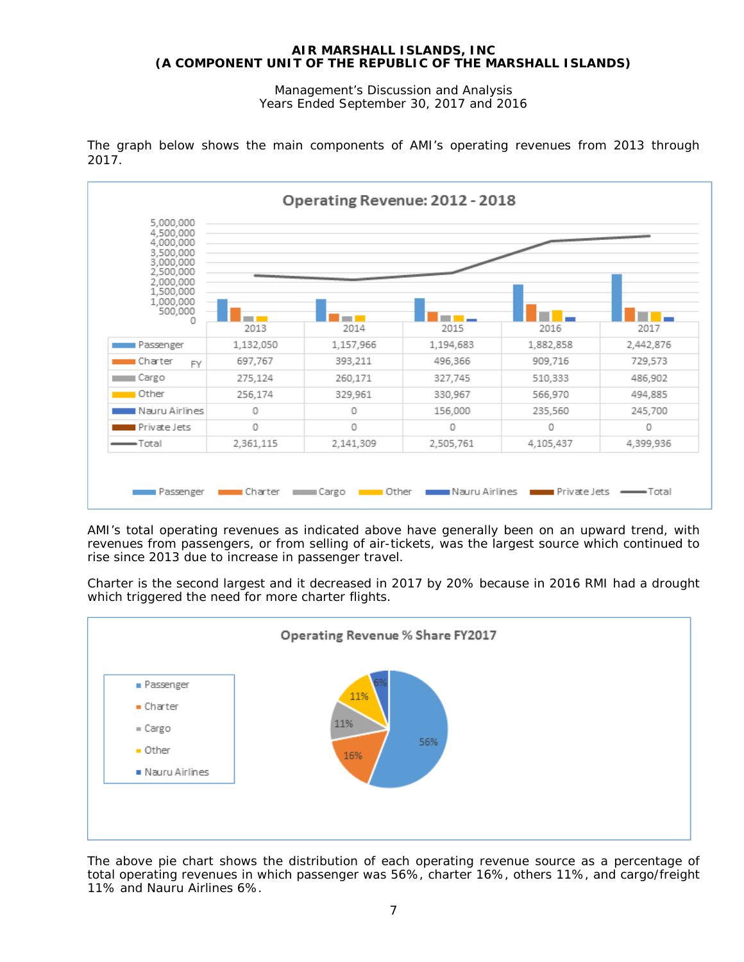Management's Discussion and Analysis Years Ended September 30, 2017 and 2016

| 4.500.000<br>4,000,000<br>3,500,000<br>3,000,000<br>2,500,000 |           |                          |                 |           |           |
|---------------------------------------------------------------|-----------|--------------------------|-----------------|-----------|-----------|
| 2,000,000<br>1,500,000<br>1,000,000<br>500,000<br>0           |           | <b>Contract Contract</b> | and the company |           |           |
|                                                               | 2013      | 2014                     | 2015            | 2016      | 2017      |
| Passenger                                                     | 1,132,050 | 1,157,966                | 1,194,683       | 1,882,858 | 2,442,876 |
| Charter<br><b>FY</b>                                          | 697,767   | 393,211                  | 496,366         | 909,716   | 729,573   |
| Cargo                                                         | 275,124   | 260,171                  | 327,745         | 510,333   | 486,902   |
| Other                                                         | 256,174   | 329,961                  | 330,967         | 566,970   | 494,885   |
| Nauru Airlines                                                | 0         | 0                        | 156,000         | 235,560   | 245,700   |
| Private Jets                                                  | 0         | 0                        | 0               | 0         | 0         |
| $\longrightarrow$ Total                                       | 2,361,115 | 2,141,309                | 2,505,761       | 4,105,437 | 4,399,936 |

The graph below shows the main components of AMI's operating revenues from 2013 through 2017.

AMI's total operating revenues as indicated above have generally been on an upward trend, with revenues from passengers, or from selling of air-tickets, was the largest source which continued to rise since 2013 due to increase in passenger travel.

Charter is the second largest and it decreased in 2017 by 20% because in 2016 RMI had a drought which triggered the need for more charter flights.



The above pie chart shows the distribution of each operating revenue source as a percentage of total operating revenues in which passenger was 56%, charter 16%, others 11%, and cargo/freight 11% and Nauru Airlines 6%.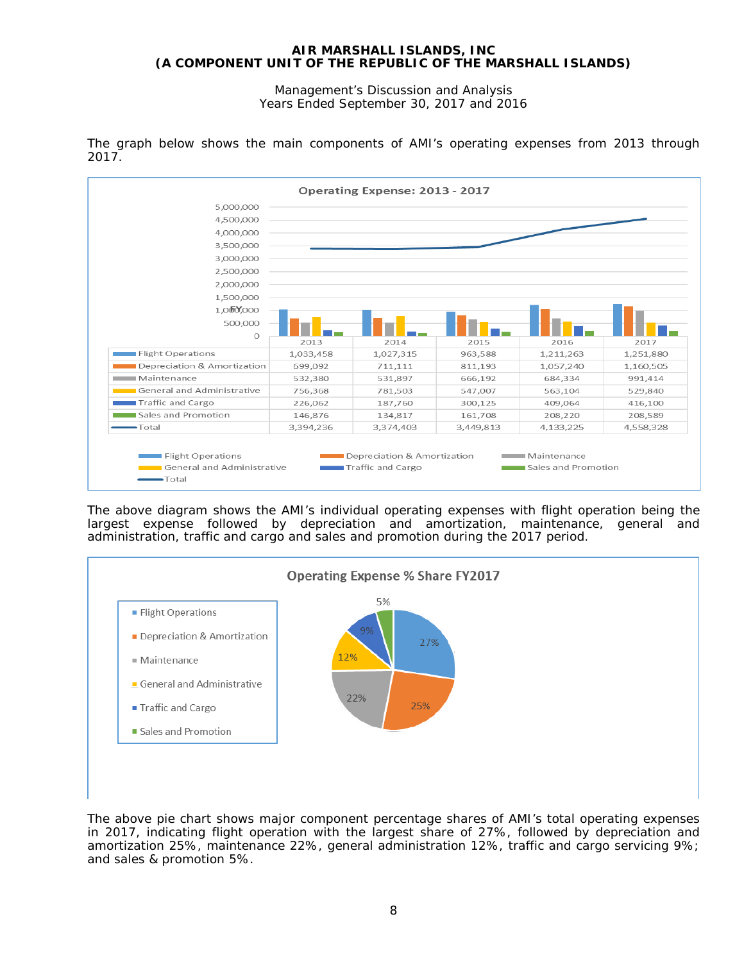Management's Discussion and Analysis Years Ended September 30, 2017 and 2016



The graph below shows the main components of AMI's operating expenses from 2013 through 2017.

The above diagram shows the AMI's individual operating expenses with flight operation being the largest expense followed by depreciation and amortization, maintenance, general and administration, traffic and cargo and sales and promotion during the 2017 period.



The above pie chart shows major component percentage shares of AMI's total operating expenses in 2017, indicating flight operation with the largest share of 27%, followed by depreciation and amortization 25%, maintenance 22%, general administration 12%, traffic and cargo servicing 9%; and sales & promotion 5%.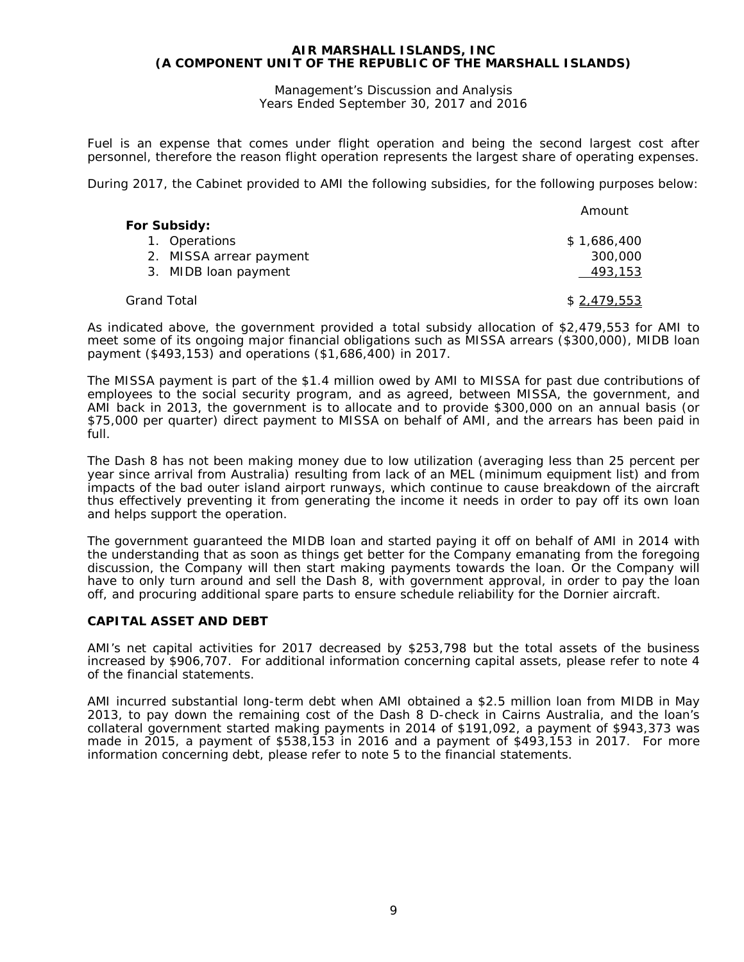Management's Discussion and Analysis Years Ended September 30, 2017 and 2016

Fuel is an expense that comes under flight operation and being the second largest cost after personnel, therefore the reason flight operation represents the largest share of operating expenses.

During 2017, the Cabinet provided to AMI the following subsidies, for the following purposes below:

|                         | Amount      |
|-------------------------|-------------|
| For Subsidy:            |             |
| 1. Operations           | \$1,686,400 |
| 2. MISSA arrear payment | 300,000     |
| 3. MIDB loan payment    | 493,153     |
| Grand Total             | \$2,479,553 |

As indicated above, the government provided a total subsidy allocation of \$2,479,553 for AMI to meet some of its ongoing major financial obligations such as MISSA arrears (\$300,000), MIDB loan payment (\$493,153) and operations (\$1,686,400) in 2017.

The MISSA payment is part of the \$1.4 million owed by AMI to MISSA for past due contributions of employees to the social security program, and as agreed, between MISSA, the government, and AMI back in 2013, the government is to allocate and to provide \$300,000 on an annual basis (or \$75,000 per quarter) direct payment to MISSA on behalf of AMI, and the arrears has been paid in full.

The Dash 8 has not been making money due to low utilization (averaging less than 25 percent per year since arrival from Australia) resulting from lack of an MEL (minimum equipment list) and from impacts of the bad outer island airport runways, which continue to cause breakdown of the aircraft thus effectively preventing it from generating the income it needs in order to pay off its own loan and helps support the operation.

The government guaranteed the MIDB loan and started paying it off on behalf of AMI in 2014 with the understanding that as soon as things get better for the Company emanating from the foregoing discussion, the Company will then start making payments towards the loan. Or the Company will have to only turn around and sell the Dash 8, with government approval, in order to pay the loan off, and procuring additional spare parts to ensure schedule reliability for the Dornier aircraft.

# **CAPITAL ASSET AND DEBT**

AMI's net capital activities for 2017 decreased by \$253,798 but the total assets of the business increased by \$906,707. For additional information concerning capital assets, please refer to note 4 of the financial statements.

AMI incurred substantial long-term debt when AMI obtained a \$2.5 million loan from MIDB in May 2013, to pay down the remaining cost of the Dash 8 D-check in Cairns Australia, and the loan's collateral government started making payments in 2014 of \$191,092, a payment of \$943,373 was made in 2015, a payment of \$538,153 in 2016 and a payment of \$493,153 in 2017. For more information concerning debt, please refer to note 5 to the financial statements.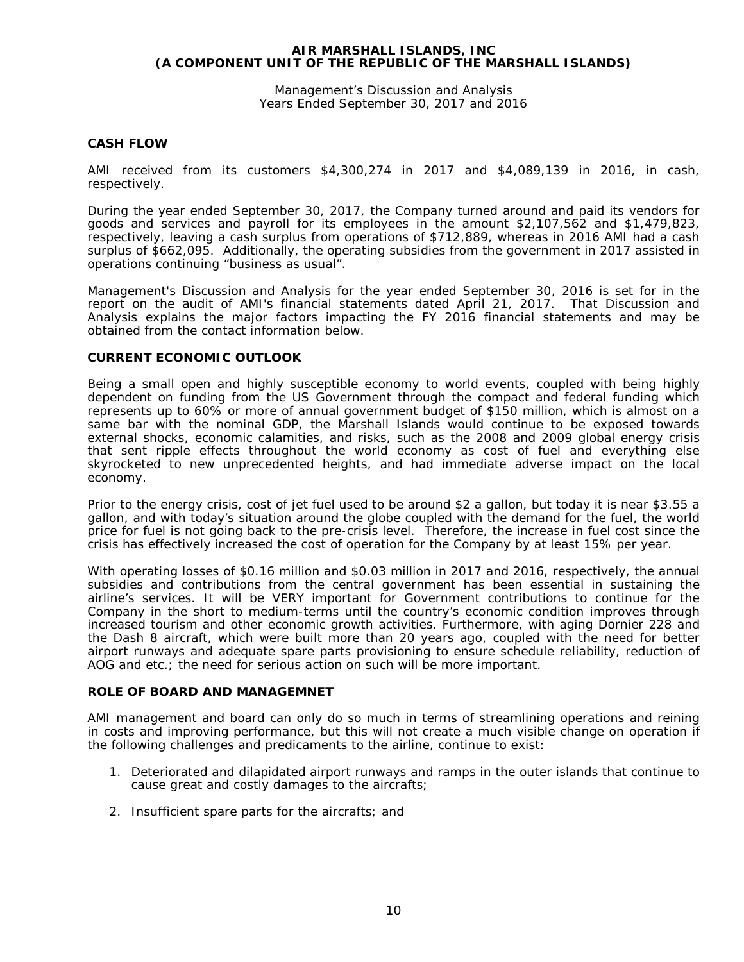Management's Discussion and Analysis Years Ended September 30, 2017 and 2016

# **CASH FLOW**

AMI received from its customers \$4,300,274 in 2017 and \$4,089,139 in 2016, in cash, respectively.

During the year ended September 30, 2017, the Company turned around and paid its vendors for goods and services and payroll for its employees in the amount \$2,107,562 and \$1,479,823, respectively, leaving a cash surplus from operations of \$712,889, whereas in 2016 AMI had a cash surplus of \$662,095. Additionally, the operating subsidies from the government in 2017 assisted in operations continuing "business as usual".

Management's Discussion and Analysis for the year ended September 30, 2016 is set for in the report on the audit of AMI's financial statements dated April 21, 2017. That Discussion and Analysis explains the major factors impacting the FY 2016 financial statements and may be obtained from the contact information below.

#### **CURRENT ECONOMIC OUTLOOK**

Being a small open and highly susceptible economy to world events, coupled with being highly dependent on funding from the US Government through the compact and federal funding which represents up to 60% or more of annual government budget of \$150 million, which is almost on a same bar with the nominal GDP, the Marshall Islands would continue to be exposed towards external shocks, economic calamities, and risks, such as the 2008 and 2009 global energy crisis that sent ripple effects throughout the world economy as cost of fuel and everything else skyrocketed to new unprecedented heights, and had immediate adverse impact on the local economy.

Prior to the energy crisis, cost of jet fuel used to be around \$2 a gallon, but today it is near \$3.55 a gallon, and with today's situation around the globe coupled with the demand for the fuel, the world price for fuel is not going back to the pre-crisis level. Therefore, the increase in fuel cost since the crisis has effectively increased the cost of operation for the Company by at least 15% per year.

With operating losses of \$0.16 million and \$0.03 million in 2017 and 2016, respectively, the annual subsidies and contributions from the central government has been essential in sustaining the airline's services. It will be VERY important for Government contributions to continue for the Company in the short to medium-terms until the country's economic condition improves through increased tourism and other economic growth activities. Furthermore, with aging Dornier 228 and the Dash 8 aircraft, which were built more than 20 years ago, coupled with the need for better airport runways and adequate spare parts provisioning to ensure schedule reliability, reduction of AOG and etc.; the need for serious action on such will be more important.

#### **ROLE OF BOARD AND MANAGEMNET**

AMI management and board can only do so much in terms of streamlining operations and reining in costs and improving performance, but this will not create a much visible change on operation if the following challenges and predicaments to the airline, continue to exist:

- 1. Deteriorated and dilapidated airport runways and ramps in the outer islands that continue to cause great and costly damages to the aircrafts;
- 2. Insufficient spare parts for the aircrafts; and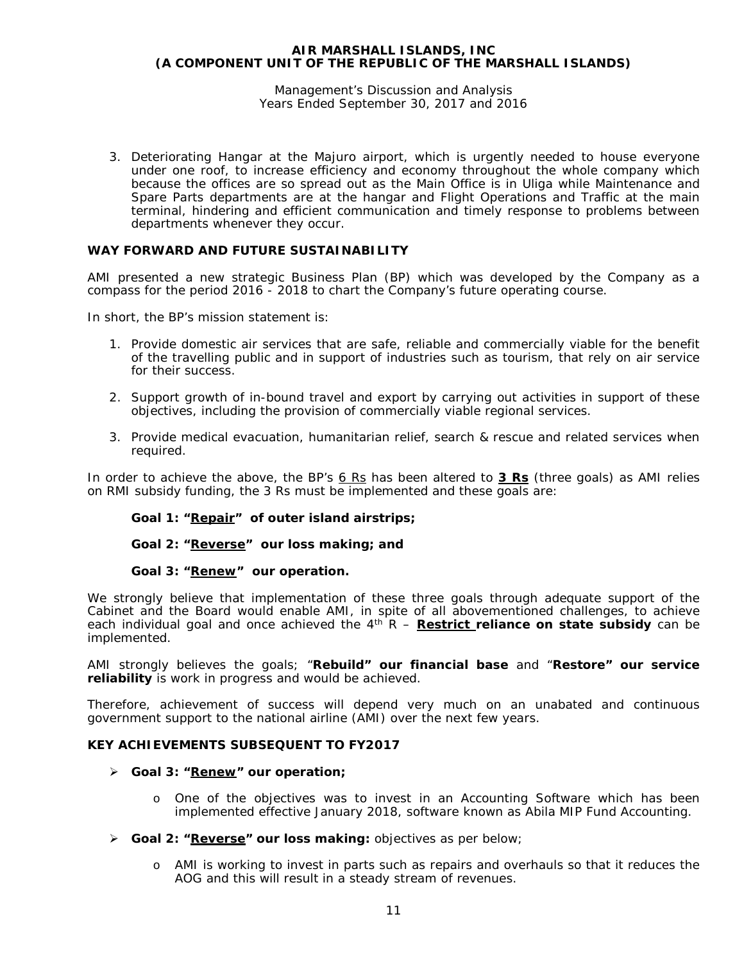#### Management's Discussion and Analysis Years Ended September 30, 2017 and 2016

3. Deteriorating Hangar at the Majuro airport, which is urgently needed to house everyone under one roof, to increase efficiency and economy throughout the whole company which because the offices are so spread out as the Main Office is in Uliga while Maintenance and Spare Parts departments are at the hangar and Flight Operations and Traffic at the main terminal, hindering and efficient communication and timely response to problems between departments whenever they occur.

# **WAY FORWARD AND FUTURE SUSTAINABILITY**

AMI presented a new strategic Business Plan (BP) which was developed by the Company as a compass for the period 2016 - 2018 to chart the Company's future operating course.

In short, the BP's mission statement is:

- 1. Provide domestic air services that are safe, reliable and commercially viable for the benefit of the travelling public and in support of industries such as tourism, that rely on air service for their success.
- 2. Support growth of in-bound travel and export by carrying out activities in support of these objectives, including the provision of commercially viable regional services.
- 3. Provide medical evacuation, humanitarian relief, search & rescue and related services when required.

In order to achieve the above, the BP's *6 Rs* has been altered to **3 Rs** (three goals) as AMI relies on RMI subsidy funding, the 3 Rs must be implemented and these goals are:

# *Goal 1: "Repair" of outer island airstrips;*

# *Goal 2: "Reverse" our loss making; and*

#### *Goal 3: "Renew" our operation.*

We strongly believe that implementation of these three goals through adequate support of the Cabinet and the Board would enable AMI, in spite of all abovementioned challenges, to achieve each individual goal and once achieved the 4<sup>th</sup> R – **Restrict reliance on state subsidy** can be implemented.

AMI strongly believes the goals; "**Rebuild" our financial base** and "**Restore" our service reliability** is work in progress and would be achieved.

Therefore, achievement of success will depend very much on an unabated and continuous government support to the national airline (AMI) over the next few years.

#### **KEY ACHIEVEMENTS SUBSEQUENT TO FY2017**

#### *Goal 3: "Renew" our operation;*

- o One of the objectives was to invest in an Accounting Software which has been implemented effective January 2018, software known as Abila MIP Fund Accounting.
- **Goal 2: "Reverse" our loss making:** objectives as per below;
	- o AMI is working to invest in parts such as repairs and overhauls so that it reduces the AOG and this will result in a steady stream of revenues.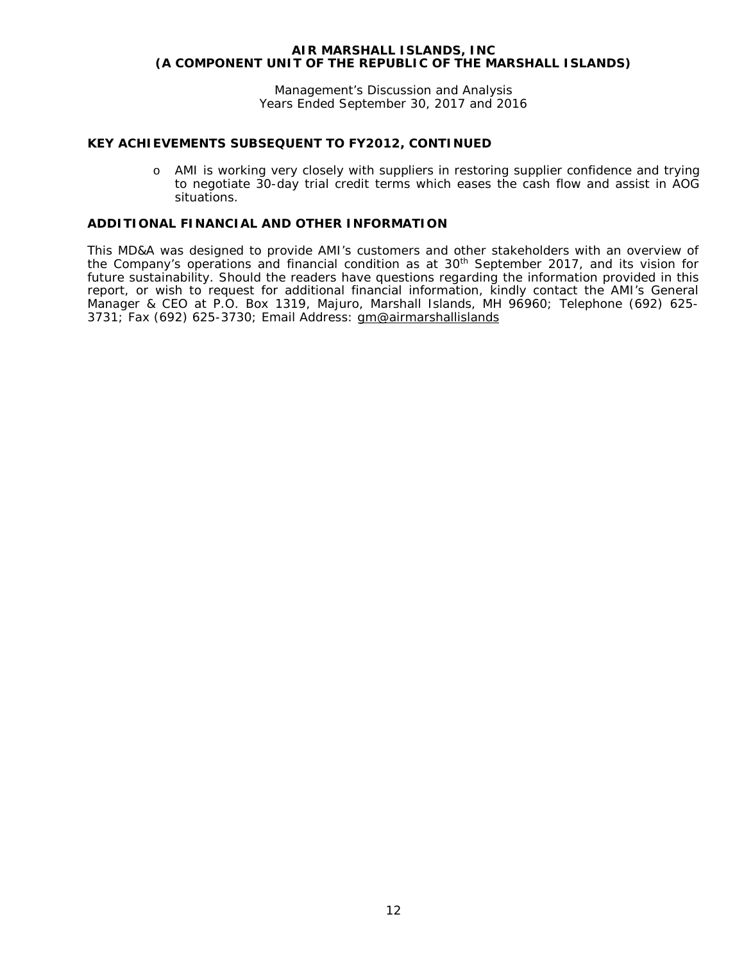Management's Discussion and Analysis Years Ended September 30, 2017 and 2016

# **KEY ACHIEVEMENTS SUBSEQUENT TO FY2012, CONTINUED**

o AMI is working very closely with suppliers in restoring supplier confidence and trying to negotiate 30-day trial credit terms which eases the cash flow and assist in AOG situations.

# **ADDITIONAL FINANCIAL AND OTHER INFORMATION**

This MD&A was designed to provide AMI's customers and other stakeholders with an overview of the Company's operations and financial condition as at 30<sup>th</sup> September 2017, and its vision for future sustainability. Should the readers have questions regarding the information provided in this report, or wish to request for additional financial information, kindly contact the AMI's General Manager & CEO at P.O. Box 1319, Majuro, Marshall Islands, MH 96960; Telephone (692) 625- 3731; Fax (692) 625-3730; Email Address: [gm@airmarshallislands](mailto:gm@airmarshallislands)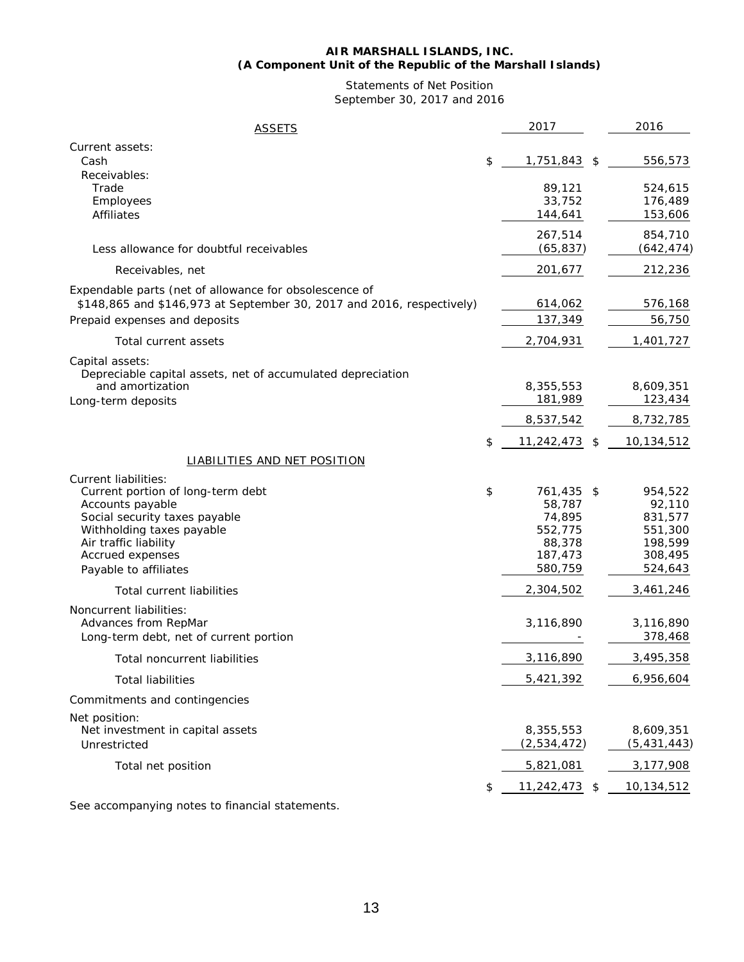#### **AIR MARSHALL ISLANDS, INC. (A Component Unit of the Republic of the Marshall Islands)**

# Statements of Net Position September 30, 2017 and 2016

| <b>ASSETS</b>                                                                                                                                                                             | 2017                                                                            | 2016                                                                     |
|-------------------------------------------------------------------------------------------------------------------------------------------------------------------------------------------|---------------------------------------------------------------------------------|--------------------------------------------------------------------------|
| Current assets:<br>Cash                                                                                                                                                                   | \$<br>1,751,843 \$                                                              | 556,573                                                                  |
| Receivables:<br>Trade<br>Employees<br>Affiliates                                                                                                                                          | 89,121<br>33,752<br>144,641                                                     | 524,615<br>176,489<br>153,606                                            |
| Less allowance for doubtful receivables                                                                                                                                                   | 267,514<br>(65, 837)                                                            | 854,710<br>(642, 474)                                                    |
| Receivables, net                                                                                                                                                                          | 201,677                                                                         | 212,236                                                                  |
| Expendable parts (net of allowance for obsolescence of<br>\$148,865 and \$146,973 at September 30, 2017 and 2016, respectively)<br>Prepaid expenses and deposits<br>Total current assets  | 614,062<br>137,349<br>2,704,931                                                 | 576,168<br>56,750<br>1,401,727                                           |
| Capital assets:<br>Depreciable capital assets, net of accumulated depreciation<br>and amortization<br>Long-term deposits                                                                  | 8,355,553<br>181,989                                                            | 8,609,351<br>123,434                                                     |
|                                                                                                                                                                                           | 8,537,542                                                                       | 8,732,785                                                                |
| LIABILITIES AND NET POSITION<br>Current liabilities:                                                                                                                                      | \$<br>11,242,473                                                                | \$<br>10,134,512                                                         |
| Current portion of long-term debt<br>Accounts payable<br>Social security taxes payable<br>Withholding taxes payable<br>Air traffic liability<br>Accrued expenses<br>Payable to affiliates | \$<br>761,435 \$<br>58,787<br>74,895<br>552,775<br>88,378<br>187,473<br>580,759 | 954,522<br>92,110<br>831,577<br>551,300<br>198,599<br>308,495<br>524,643 |
| <b>Total current liabilities</b>                                                                                                                                                          | 2,304,502                                                                       | 3,461,246                                                                |
| Noncurrent liabilities:<br>Advances from RepMar<br>Long-term debt, net of current portion                                                                                                 | 3,116,890                                                                       | 3,116,890<br>378,468                                                     |
| Total noncurrent liabilities                                                                                                                                                              | 3,116,890                                                                       | 3,495,358                                                                |
| <b>Total liabilities</b>                                                                                                                                                                  | 5,421,392                                                                       | 6,956,604                                                                |
| Commitments and contingencies                                                                                                                                                             |                                                                                 |                                                                          |
| Net position:<br>Net investment in capital assets<br>Unrestricted                                                                                                                         | 8,355,553<br>(2,534,472)                                                        | 8,609,351<br>(5, 431, 443)                                               |
| Total net position                                                                                                                                                                        | 5,821,081                                                                       | 3,177,908                                                                |
|                                                                                                                                                                                           | \$<br>11,242,473                                                                | \$<br>10,134,512                                                         |

See accompanying notes to financial statements.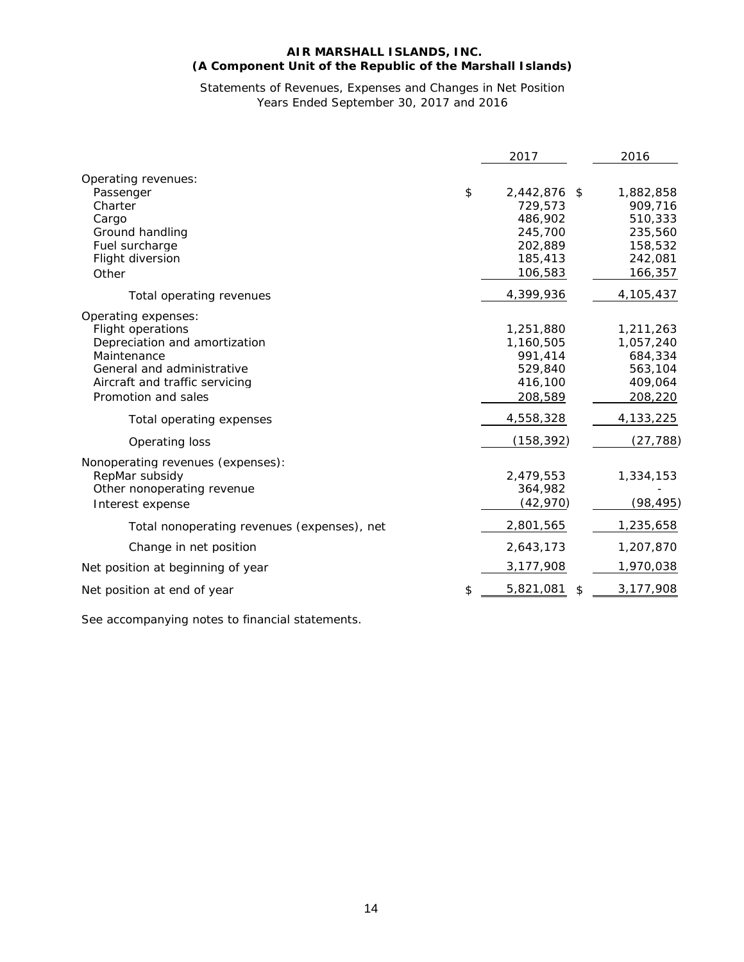# **AIR MARSHALL ISLANDS, INC. (A Component Unit of the Republic of the Marshall Islands)**

# Statements of Revenues, Expenses and Changes in Net Position Years Ended September 30, 2017 and 2016

|                                                                                                                                                                                 | 2017                                                                                 | 2016                                                                        |
|---------------------------------------------------------------------------------------------------------------------------------------------------------------------------------|--------------------------------------------------------------------------------------|-----------------------------------------------------------------------------|
| Operating revenues:<br>Passenger<br>Charter<br>Cargo<br>Ground handling<br>Fuel surcharge<br>Flight diversion<br>Other                                                          | \$<br>2,442,876 \$<br>729,573<br>486,902<br>245,700<br>202,889<br>185,413<br>106,583 | 1,882,858<br>909,716<br>510,333<br>235,560<br>158,532<br>242,081<br>166,357 |
| Total operating revenues                                                                                                                                                        | 4,399,936                                                                            | 4,105,437                                                                   |
| Operating expenses:<br>Flight operations<br>Depreciation and amortization<br>Maintenance<br>General and administrative<br>Aircraft and traffic servicing<br>Promotion and sales | 1,251,880<br>1,160,505<br>991,414<br>529,840<br>416,100<br>208,589                   | 1,211,263<br>1,057,240<br>684,334<br>563,104<br>409,064<br>208,220          |
| Total operating expenses                                                                                                                                                        | 4,558,328                                                                            | 4,133,225                                                                   |
| Operating loss                                                                                                                                                                  | (158, 392)                                                                           | (27, 788)                                                                   |
| Nonoperating revenues (expenses):<br>RepMar subsidy<br>Other nonoperating revenue<br>Interest expense                                                                           | 2,479,553<br>364,982<br>(42, 970)                                                    | 1,334,153<br>(98, 495)                                                      |
| Total nonoperating revenues (expenses), net                                                                                                                                     | 2,801,565                                                                            | 1,235,658                                                                   |
| Change in net position                                                                                                                                                          | 2,643,173                                                                            | 1,207,870                                                                   |
| Net position at beginning of year                                                                                                                                               | 3,177,908                                                                            | 1,970,038                                                                   |
| Net position at end of year                                                                                                                                                     | \$<br>5,821,081<br>\$                                                                | 3,177,908                                                                   |

See accompanying notes to financial statements.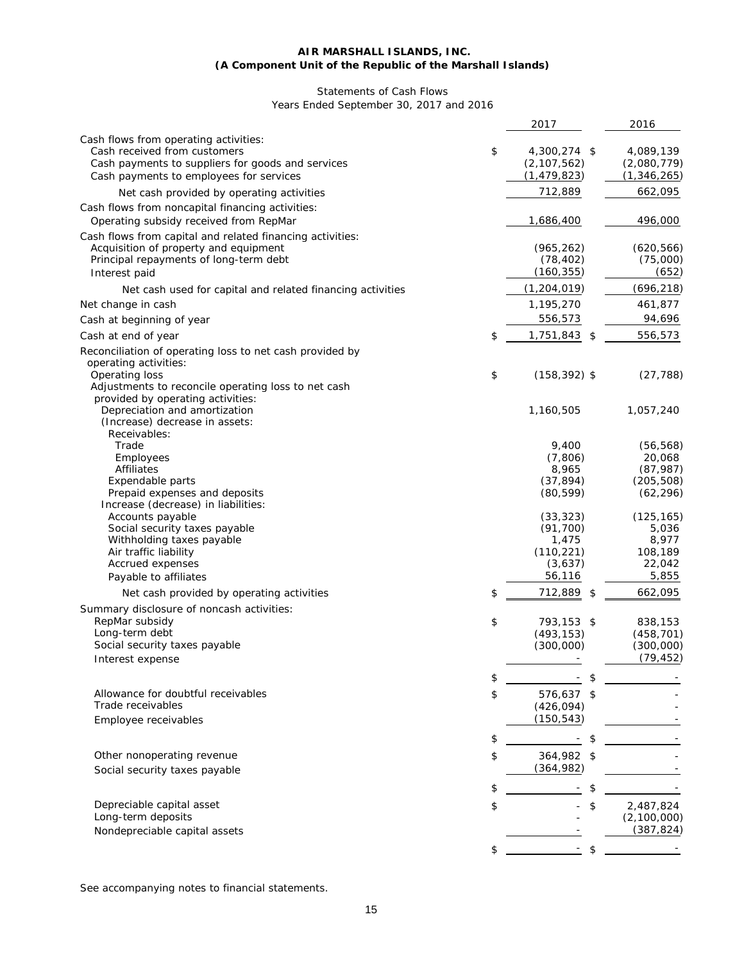#### **AIR MARSHALL ISLANDS, INC. (A Component Unit of the Republic of the Marshall Islands)**

# Statements of Cash Flows Years Ended September 30, 2017 and 2016

|                                                                                                                                                                       | 2017                                                 | 2016                                      |
|-----------------------------------------------------------------------------------------------------------------------------------------------------------------------|------------------------------------------------------|-------------------------------------------|
| Cash flows from operating activities:<br>Cash received from customers<br>Cash payments to suppliers for goods and services<br>Cash payments to employees for services | \$<br>4,300,274 \$<br>(2, 107, 562)<br>(1, 479, 823) | 4,089,139<br>(2,080,779)<br>(1, 346, 265) |
| Net cash provided by operating activities                                                                                                                             | 712,889                                              | 662,095                                   |
| Cash flows from noncapital financing activities:<br>Operating subsidy received from RepMar                                                                            | 1,686,400                                            | 496,000                                   |
| Cash flows from capital and related financing activities:<br>Acquisition of property and equipment<br>Principal repayments of long-term debt<br>Interest paid         | (965, 262)<br>(78, 402)<br>(160, 355)                | (620, 566)<br>(75,000)<br>(652)           |
| Net cash used for capital and related financing activities                                                                                                            | (1, 204, 019)                                        | (696, 218)                                |
| Net change in cash                                                                                                                                                    | 1,195,270                                            | 461,877                                   |
| Cash at beginning of year                                                                                                                                             | 556,573                                              | 94,696                                    |
| Cash at end of year                                                                                                                                                   | \$<br>$1,751,843$ \$                                 | 556,573                                   |
| Reconciliation of operating loss to net cash provided by<br>operating activities:                                                                                     |                                                      |                                           |
| Operating loss<br>Adjustments to reconcile operating loss to net cash<br>provided by operating activities:                                                            | \$<br>$(158, 392)$ \$                                | (27, 788)                                 |
| Depreciation and amortization<br>(Increase) decrease in assets:<br>Receivables:                                                                                       | 1,160,505                                            | 1,057,240                                 |
| Trade                                                                                                                                                                 | 9,400                                                | (56, 568)                                 |
| Employees                                                                                                                                                             | (7,806)                                              | 20,068                                    |
| Affiliates                                                                                                                                                            | 8,965                                                | (87, 987)                                 |
| Expendable parts<br>Prepaid expenses and deposits<br>Increase (decrease) in liabilities:                                                                              | (37, 894)<br>(80, 599)                               | (205, 508)<br>(62, 296)                   |
| Accounts payable                                                                                                                                                      | (33, 323)                                            | (125, 165)                                |
| Social security taxes payable                                                                                                                                         | (91, 700)                                            | 5,036                                     |
| Withholding taxes payable<br>Air traffic liability                                                                                                                    | 1,475<br>(110, 221)                                  | 8,977<br>108,189                          |
| Accrued expenses                                                                                                                                                      | (3,637)                                              | 22,042                                    |
| Payable to affiliates                                                                                                                                                 | 56,116                                               | 5,855                                     |
| Net cash provided by operating activities                                                                                                                             | \$<br>712,889<br>\$                                  | 662,095                                   |
| Summary disclosure of noncash activities:                                                                                                                             |                                                      |                                           |
| RepMar subsidy<br>Long-term debt                                                                                                                                      | \$<br>793,153 \$<br>(493, 153)                       | 838,153<br>(458, 701)                     |
| Social security taxes payable                                                                                                                                         | (300,000)                                            | (300,000)                                 |
| Interest expense                                                                                                                                                      |                                                      | (79, 452)                                 |
|                                                                                                                                                                       | \$                                                   |                                           |
| Allowance for doubtful receivables                                                                                                                                    | \$<br>576.637 \$                                     |                                           |
| Trade receivables                                                                                                                                                     | (426, 094)                                           |                                           |
| Employee receivables                                                                                                                                                  | (150, 543)                                           |                                           |
|                                                                                                                                                                       | \$<br>\$                                             |                                           |
|                                                                                                                                                                       |                                                      |                                           |
| Other nonoperating revenue                                                                                                                                            | \$<br>364,982 \$<br>(364, 982)                       |                                           |
| Social security taxes payable                                                                                                                                         |                                                      |                                           |
|                                                                                                                                                                       | \$<br>\$                                             |                                           |
| Depreciable capital asset                                                                                                                                             | \$<br>\$                                             | 2,487,824                                 |
| Long-term deposits                                                                                                                                                    |                                                      | (2, 100, 000)                             |
| Nondepreciable capital assets                                                                                                                                         |                                                      | (387, 824)                                |
|                                                                                                                                                                       | \$<br>\$                                             |                                           |

See accompanying notes to financial statements.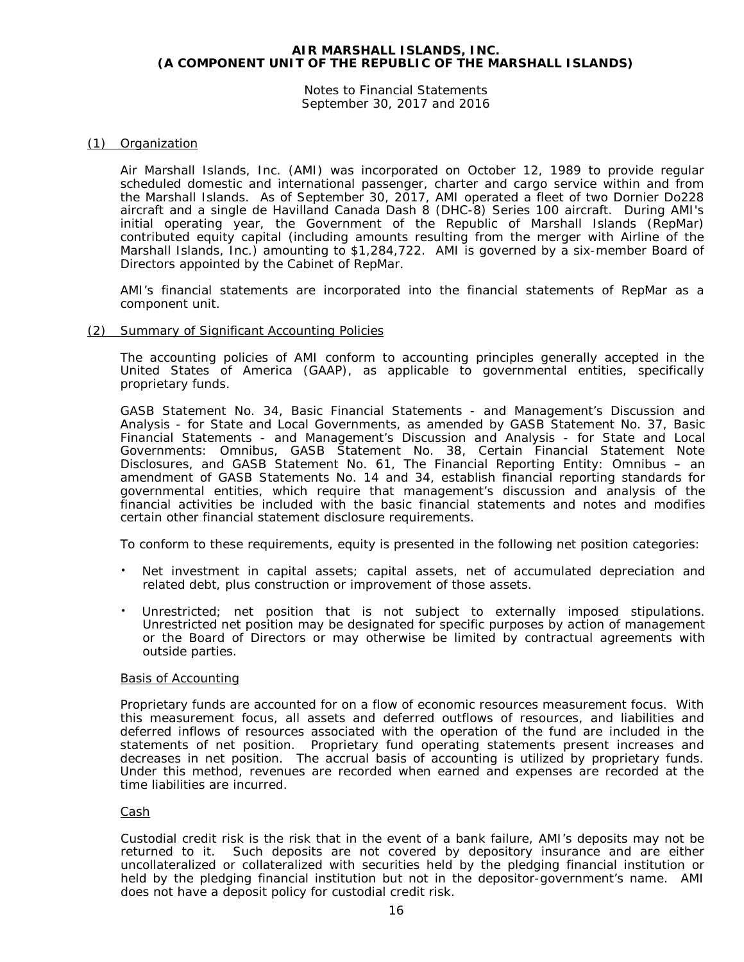Notes to Financial Statements September 30, 2017 and 2016

# (1) Organization

Air Marshall Islands, Inc. (AMI) was incorporated on October 12, 1989 to provide regular scheduled domestic and international passenger, charter and cargo service within and from the Marshall Islands. As of September 30, 2017, AMI operated a fleet of two Dornier Do228 aircraft and a single de Havilland Canada Dash 8 (DHC-8) Series 100 aircraft. During AMI's initial operating year, the Government of the Republic of Marshall Islands (RepMar) contributed equity capital (including amounts resulting from the merger with Airline of the Marshall Islands, Inc.) amounting to \$1,284,722. AMI is governed by a six-member Board of Directors appointed by the Cabinet of RepMar.

AMI's financial statements are incorporated into the financial statements of RepMar as a component unit.

#### (2) Summary of Significant Accounting Policies

The accounting policies of AMI conform to accounting principles generally accepted in the United States of America (GAAP), as applicable to governmental entities, specifically proprietary funds.

GASB Statement No. 34, *Basic Financial Statements - and Management's Discussion and Analysis - for State and Local Governments*, as amended by GASB Statement No. 37, *Basic Financial Statements - and Management's Discussion and Analysis - for State and Local Governments: Omnibus*, GASB Statement No. 38, *Certain Financial Statement Note Disclosures*, and GASB Statement No. 61, *The Financial Reporting Entity: Omnibus – an amendment of GASB Statements No. 14 and 34*, establish financial reporting standards for governmental entities, which require that management's discussion and analysis of the financial activities be included with the basic financial statements and notes and modifies certain other financial statement disclosure requirements.

To conform to these requirements, equity is presented in the following net position categories:

- Net investment in capital assets; capital assets, net of accumulated depreciation and related debt, plus construction or improvement of those assets.
- Unrestricted; net position that is not subject to externally imposed stipulations. Unrestricted net position may be designated for specific purposes by action of management or the Board of Directors or may otherwise be limited by contractual agreements with outside parties.

#### Basis of Accounting

Proprietary funds are accounted for on a flow of economic resources measurement focus. With this measurement focus, all assets and deferred outflows of resources, and liabilities and deferred inflows of resources associated with the operation of the fund are included in the statements of net position. Proprietary fund operating statements present increases and decreases in net position. The accrual basis of accounting is utilized by proprietary funds. Under this method, revenues are recorded when earned and expenses are recorded at the time liabilities are incurred.

#### Cash

Custodial credit risk is the risk that in the event of a bank failure, AMI's deposits may not be returned to it. Such deposits are not covered by depository insurance and are either uncollateralized or collateralized with securities held by the pledging financial institution or held by the pledging financial institution but not in the depositor-government's name. AMI does not have a deposit policy for custodial credit risk.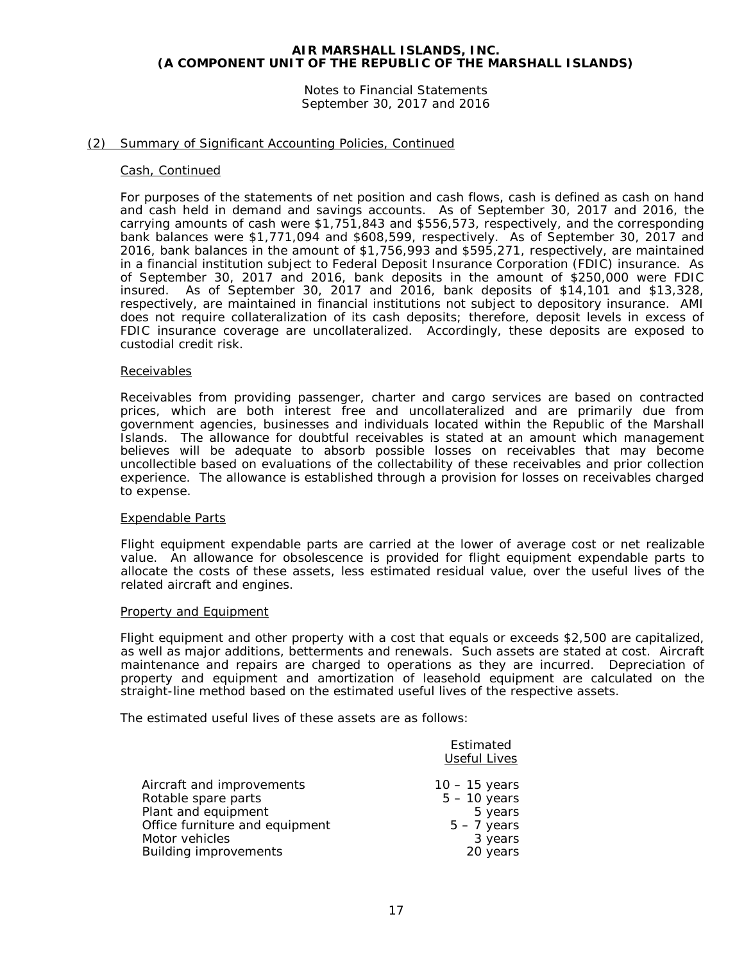Notes to Financial Statements September 30, 2017 and 2016

#### (2) Summary of Significant Accounting Policies, Continued

#### Cash, Continued

For purposes of the statements of net position and cash flows, cash is defined as cash on hand and cash held in demand and savings accounts. As of September 30, 2017 and 2016, the carrying amounts of cash were \$1,751,843 and \$556,573, respectively, and the corresponding bank balances were \$1,771,094 and \$608,599, respectively. As of September 30, 2017 and 2016, bank balances in the amount of \$1,756,993 and \$595,271, respectively, are maintained in a financial institution subject to Federal Deposit Insurance Corporation (FDIC) insurance. As of September 30, 2017 and 2016, bank deposits in the amount of \$250,000 were FDIC insured. As of September 30, 2017 and 2016, bank deposits of \$14,101 and \$13,328, respectively, are maintained in financial institutions not subject to depository insurance. AMI does not require collateralization of its cash deposits; therefore, deposit levels in excess of FDIC insurance coverage are uncollateralized. Accordingly, these deposits are exposed to custodial credit risk.

#### Receivables

Receivables from providing passenger, charter and cargo services are based on contracted prices, which are both interest free and uncollateralized and are primarily due from government agencies, businesses and individuals located within the Republic of the Marshall Islands. The allowance for doubtful receivables is stated at an amount which management believes will be adequate to absorb possible losses on receivables that may become uncollectible based on evaluations of the collectability of these receivables and prior collection experience. The allowance is established through a provision for losses on receivables charged to expense.

#### Expendable Parts

Flight equipment expendable parts are carried at the lower of average cost or net realizable value. An allowance for obsolescence is provided for flight equipment expendable parts to allocate the costs of these assets, less estimated residual value, over the useful lives of the related aircraft and engines.

#### Property and Equipment

Flight equipment and other property with a cost that equals or exceeds \$2,500 are capitalized, as well as major additions, betterments and renewals. Such assets are stated at cost. Aircraft maintenance and repairs are charged to operations as they are incurred. Depreciation of property and equipment and amortization of leasehold equipment are calculated on the straight-line method based on the estimated useful lives of the respective assets.

The estimated useful lives of these assets are as follows:

| Estimated                                        | <b>Useful Lives</b>               |
|--------------------------------------------------|-----------------------------------|
| Aircraft and improvements<br>Rotable spare parts | $10 - 15$ years<br>$5 - 10$ years |
| Plant and equipment                              | 5 years                           |
| Office furniture and equipment                   | $5 - 7$ years                     |
| Motor vehicles                                   | 3 years                           |
| <b>Building improvements</b>                     | 20 years                          |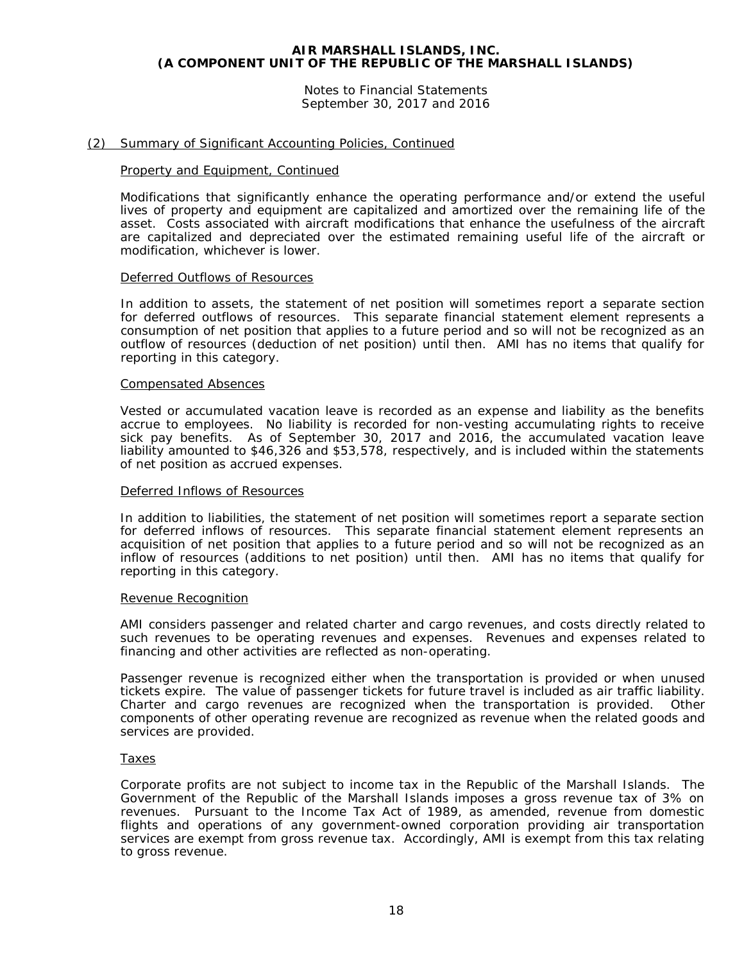Notes to Financial Statements September 30, 2017 and 2016

#### (2) Summary of Significant Accounting Policies, Continued

#### Property and Equipment, Continued

Modifications that significantly enhance the operating performance and/or extend the useful lives of property and equipment are capitalized and amortized over the remaining life of the asset. Costs associated with aircraft modifications that enhance the usefulness of the aircraft are capitalized and depreciated over the estimated remaining useful life of the aircraft or modification, whichever is lower.

#### Deferred Outflows of Resources

In addition to assets, the statement of net position will sometimes report a separate section for deferred outflows of resources. This separate financial statement element represents a consumption of net position that applies to a future period and so will not be recognized as an outflow of resources (deduction of net position) until then. AMI has no items that qualify for reporting in this category.

#### Compensated Absences

Vested or accumulated vacation leave is recorded as an expense and liability as the benefits accrue to employees. No liability is recorded for non-vesting accumulating rights to receive sick pay benefits. As of September 30, 2017 and 2016, the accumulated vacation leave liability amounted to \$46,326 and \$53,578, respectively, and is included within the statements of net position as accrued expenses.

#### Deferred Inflows of Resources

In addition to liabilities, the statement of net position will sometimes report a separate section for deferred inflows of resources. This separate financial statement element represents an acquisition of net position that applies to a future period and so will not be recognized as an inflow of resources (additions to net position) until then. AMI has no items that qualify for reporting in this category.

#### Revenue Recognition

AMI considers passenger and related charter and cargo revenues, and costs directly related to such revenues to be operating revenues and expenses. Revenues and expenses related to financing and other activities are reflected as non-operating.

Passenger revenue is recognized either when the transportation is provided or when unused tickets expire. The value of passenger tickets for future travel is included as air traffic liability. Charter and cargo revenues are recognized when the transportation is provided. Other components of other operating revenue are recognized as revenue when the related goods and services are provided.

#### Taxes

Corporate profits are not subject to income tax in the Republic of the Marshall Islands. The Government of the Republic of the Marshall Islands imposes a gross revenue tax of 3% on revenues. Pursuant to the Income Tax Act of 1989, as amended, revenue from domestic flights and operations of any government-owned corporation providing air transportation services are exempt from gross revenue tax. Accordingly, AMI is exempt from this tax relating to gross revenue.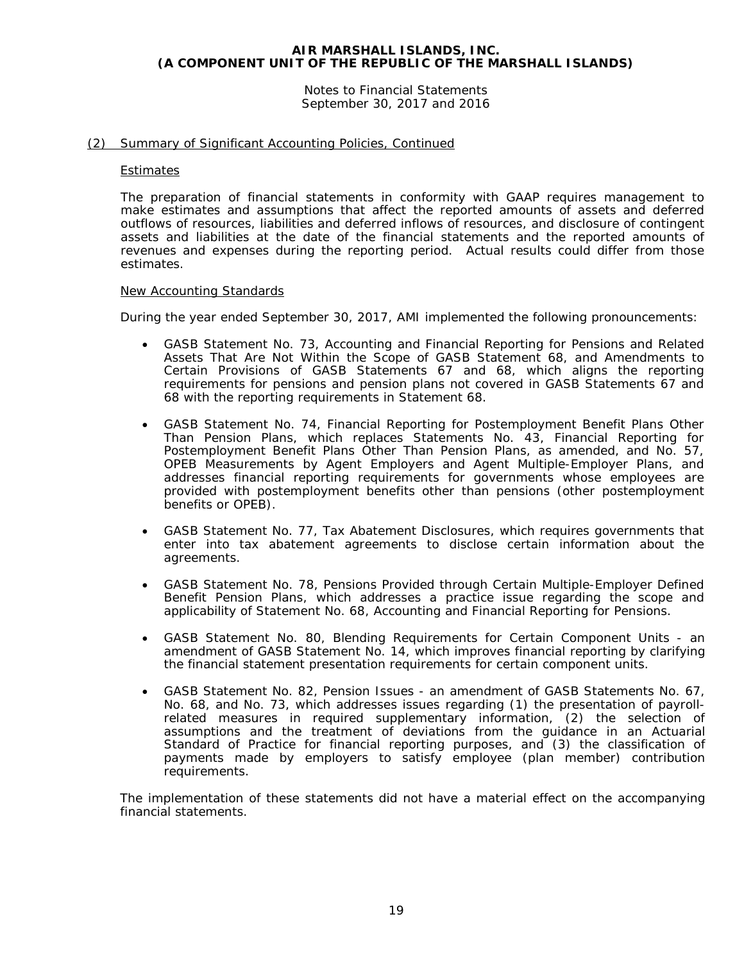Notes to Financial Statements September 30, 2017 and 2016

# (2) Summary of Significant Accounting Policies, Continued

#### **Estimates**

The preparation of financial statements in conformity with GAAP requires management to make estimates and assumptions that affect the reported amounts of assets and deferred outflows of resources, liabilities and deferred inflows of resources, and disclosure of contingent assets and liabilities at the date of the financial statements and the reported amounts of revenues and expenses during the reporting period. Actual results could differ from those estimates.

#### New Accounting Standards

During the year ended September 30, 2017, AMI implemented the following pronouncements:

- GASB Statement No. 73, *Accounting and Financial Reporting for Pensions and Related Assets That Are Not Within the Scope of GASB Statement 68, and Amendments to Certain Provisions of GASB Statements 67 and 68*, which aligns the reporting requirements for pensions and pension plans not covered in GASB Statements 67 and 68 with the reporting requirements in Statement 68.
- GASB Statement No. 74, *Financial Reporting for Postemployment Benefit Plans Other Than Pension Plans*, which replaces Statements No. 43, *Financial Reporting for Postemployment Benefit Plans Other Than Pension Plans, as amended*, and No. 57, *OPEB Measurements by Agent Employers and Agent Multiple-Employer Plans*, and addresses financial reporting requirements for governments whose employees are provided with postemployment benefits other than pensions (other postemployment benefits or OPEB).
- GASB Statement No. 77, *Tax Abatement Disclosures*, which requires governments that enter into tax abatement agreements to disclose certain information about the agreements.
- GASB Statement No. 78, *Pensions Provided through Certain Multiple-Employer Defined Benefit Pension Plans*, which addresses a practice issue regarding the scope and applicability of Statement No. 68, *Accounting and Financial Reporting for Pensions*.
- GASB Statement No. 80, *Blending Requirements for Certain Component Units - an amendment of GASB Statement No. 14*, which improves financial reporting by clarifying the financial statement presentation requirements for certain component units.
- GASB Statement No. 82, *Pension Issues - an amendment of GASB Statements No. 67, No. 68, and No. 73*, which addresses issues regarding (1) the presentation of payrollrelated measures in required supplementary information, (2) the selection of assumptions and the treatment of deviations from the guidance in an Actuarial Standard of Practice for financial reporting purposes, and (3) the classification of payments made by employers to satisfy employee (plan member) contribution requirements.

The implementation of these statements did not have a material effect on the accompanying financial statements.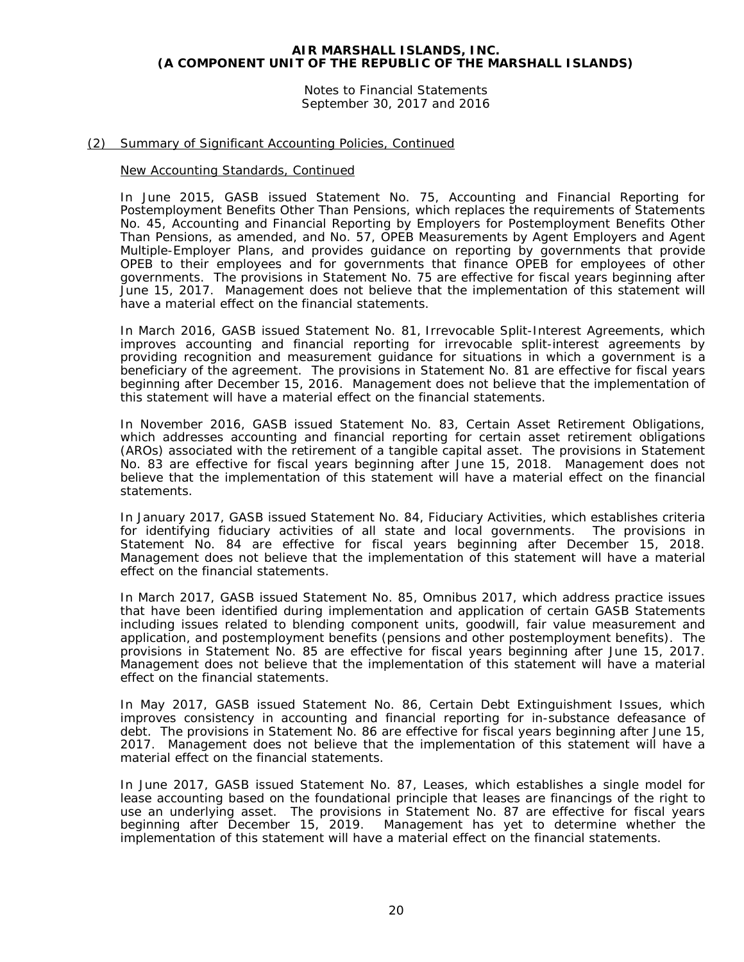Notes to Financial Statements September 30, 2017 and 2016

# (2) Summary of Significant Accounting Policies, Continued

#### New Accounting Standards, Continued

In June 2015, GASB issued Statement No. 75, *Accounting and Financial Reporting for Postemployment Benefits Other Than Pensions*, which replaces the requirements of Statements No. 45, *Accounting and Financial Reporting by Employers for Postemployment Benefits Other Than Pensions*, as amended, and No. 57, *OPEB Measurements by Agent Employers and Agent Multiple-Employer Plans*, and provides guidance on reporting by governments that provide OPEB to their employees and for governments that finance OPEB for employees of other governments. The provisions in Statement No. 75 are effective for fiscal years beginning after June 15, 2017. Management does not believe that the implementation of this statement will have a material effect on the financial statements.

In March 2016, GASB issued Statement No. 81, *Irrevocable Split-Interest Agreements,* which improves accounting and financial reporting for irrevocable split-interest agreements by providing recognition and measurement guidance for situations in which a government is a beneficiary of the agreement. The provisions in Statement No. 81 are effective for fiscal years beginning after December 15, 2016. Management does not believe that the implementation of this statement will have a material effect on the financial statements.

In November 2016, GASB issued Statement No. 83, *Certain Asset Retirement Obligations*, which addresses accounting and financial reporting for certain asset retirement obligations (AROs) associated with the retirement of a tangible capital asset. The provisions in Statement No. 83 are effective for fiscal years beginning after June 15, 2018. Management does not believe that the implementation of this statement will have a material effect on the financial statements.

In January 2017, GASB issued Statement No. 84, *Fiduciary Activities*, which establishes criteria for identifying fiduciary activities of all state and local governments. The provisions in Statement No. 84 are effective for fiscal years beginning after December 15, 2018. Management does not believe that the implementation of this statement will have a material effect on the financial statements.

In March 2017, GASB issued Statement No. 85, *Omnibus 2017*, which address practice issues that have been identified during implementation and application of certain GASB Statements including issues related to blending component units, goodwill, fair value measurement and application, and postemployment benefits (pensions and other postemployment benefits). The provisions in Statement No. 85 are effective for fiscal years beginning after June 15, 2017. Management does not believe that the implementation of this statement will have a material effect on the financial statements.

In May 2017, GASB issued Statement No. 86, *Certain Debt Extinguishment Issues*, which improves consistency in accounting and financial reporting for in-substance defeasance of debt. The provisions in Statement No. 86 are effective for fiscal years beginning after June 15, 2017. Management does not believe that the implementation of this statement will have a material effect on the financial statements.

In June 2017, GASB issued Statement No. 87, *Leases*, which establishes a single model for lease accounting based on the foundational principle that leases are financings of the right to use an underlying asset. The provisions in Statement No. 87 are effective for fiscal years beginning after December 15, 2019. Management has yet to determine whether the implementation of this statement will have a material effect on the financial statements.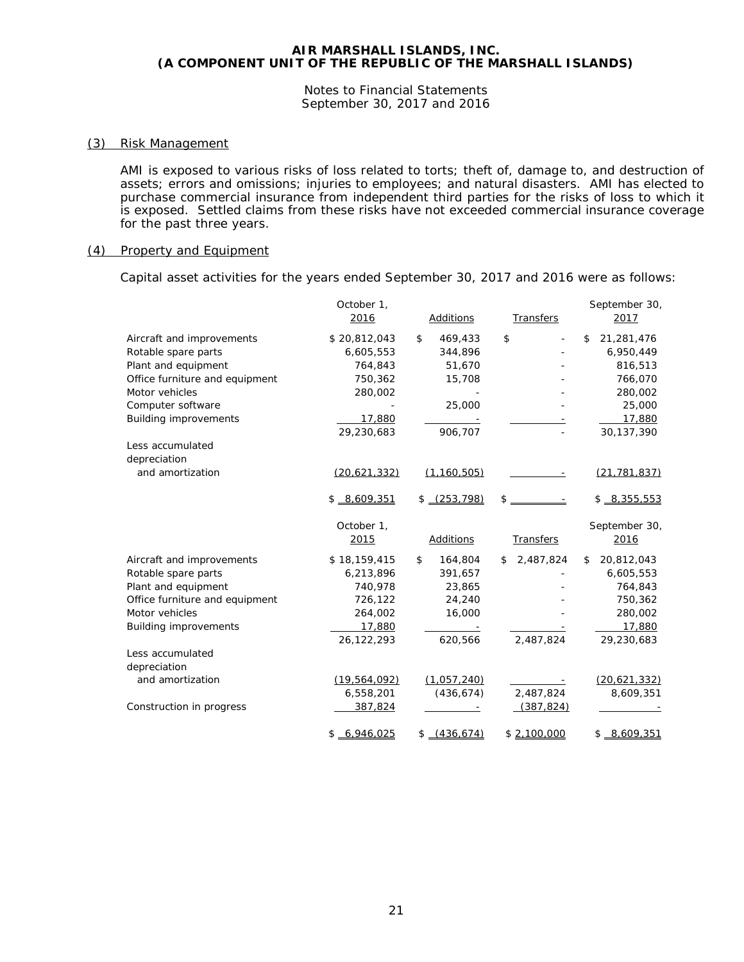Notes to Financial Statements September 30, 2017 and 2016

#### (3) Risk Management

AMI is exposed to various risks of loss related to torts; theft of, damage to, and destruction of assets; errors and omissions; injuries to employees; and natural disasters. AMI has elected to purchase commercial insurance from independent third parties for the risks of loss to which it is exposed. Settled claims from these risks have not exceeded commercial insurance coverage for the past three years.

#### (4) Property and Equipment

Capital asset activities for the years ended September 30, 2017 and 2016 were as follows:

|                                | October 1,<br>2016 | Additions        | Transfers            | September 30,<br>2017 |
|--------------------------------|--------------------|------------------|----------------------|-----------------------|
| Aircraft and improvements      | \$20,812,043       | \$<br>469,433    | \$<br>$\overline{a}$ | 21,281,476<br>\$      |
| Rotable spare parts            | 6,605,553          | 344,896          |                      | 6,950,449             |
| Plant and equipment            | 764,843            | 51,670           |                      | 816,513               |
| Office furniture and equipment | 750,362            | 15,708           |                      | 766,070               |
| Motor vehicles                 | 280,002            |                  |                      | 280,002               |
| Computer software              |                    | 25,000           |                      | 25,000                |
| <b>Building improvements</b>   | 17,880             |                  |                      | 17,880                |
|                                | 29,230,683         | 906,707          |                      | 30,137,390            |
| Less accumulated               |                    |                  |                      |                       |
| depreciation                   |                    |                  |                      |                       |
| and amortization               | (20,621,332)       | (1, 160, 505)    |                      | (21, 781, 837)        |
|                                | \$8,609,351        | $$-(253.798)$    | $\mathbb{S}$         | $$ -8,355,553$        |
|                                | October 1,         |                  |                      | September 30,         |
|                                | 2015               | <b>Additions</b> | <b>Transfers</b>     | 2016                  |
| Aircraft and improvements      | \$18,159,415       | 164,804<br>\$    | 2,487,824<br>\$      | 20,812,043<br>\$      |
| Rotable spare parts            | 6,213,896          | 391,657          |                      | 6,605,553             |
| Plant and equipment            | 740,978            | 23,865           |                      | 764,843               |
| Office furniture and equipment | 726,122            | 24,240           |                      | 750,362               |
| Motor vehicles                 | 264,002            | 16,000           |                      | 280,002               |
| <b>Building improvements</b>   | 17,880             |                  |                      | 17,880                |
|                                | 26,122,293         | 620,566          | 2,487,824            | 29,230,683            |
| Less accumulated               |                    |                  |                      |                       |
| depreciation                   |                    |                  |                      |                       |
| and amortization               | (19, 564, 092)     | (1,057,240)      |                      | (20, 621, 332)        |
|                                | 6,558,201          | (436, 674)       | 2,487,824            | 8,609,351             |
| Construction in progress       | 387,824            |                  | (387, 824)           |                       |
|                                | 6.946.025<br>\$    | (436.674)<br>\$  | \$2,100,000          | 8,609,351<br>\$       |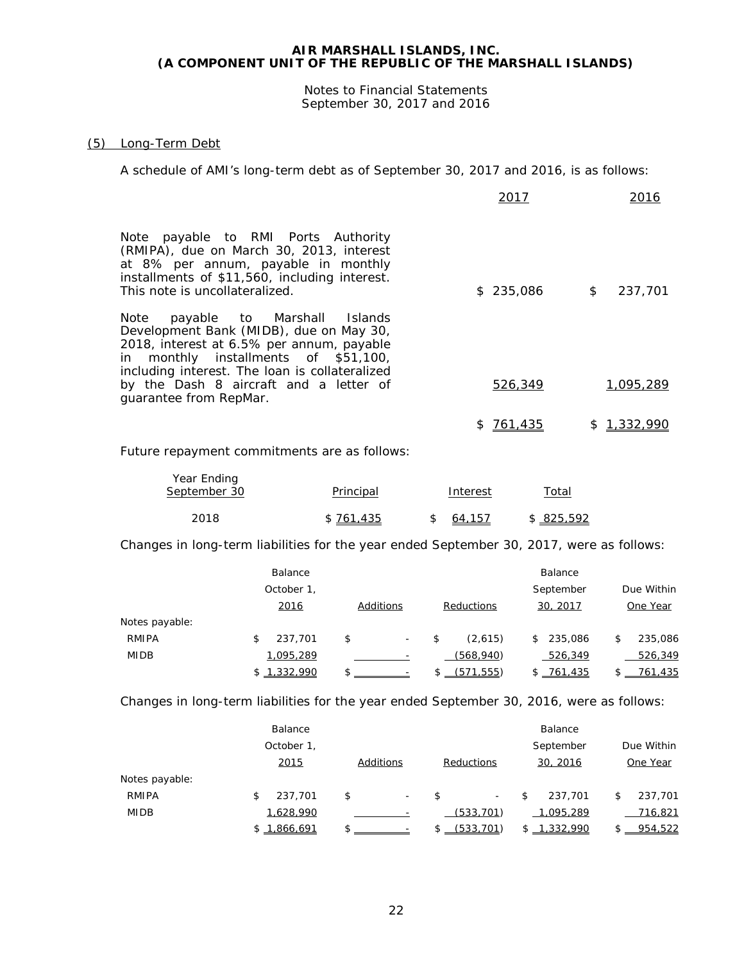Notes to Financial Statements September 30, 2017 and 2016

# (5) Long-Term Debt

A schedule of AMI's long-term debt as of September 30, 2017 and 2016, is as follows:

|                                                                                                                                                                                                                                                                                           | 2017          | 2016          |
|-------------------------------------------------------------------------------------------------------------------------------------------------------------------------------------------------------------------------------------------------------------------------------------------|---------------|---------------|
| Note payable to RMI Ports Authority<br>(RMIPA), due on March 30, 2013, interest<br>at 8% per annum, payable in monthly<br>installments of \$11,560, including interest.<br>This note is uncollateralized.                                                                                 | \$235,086     | \$<br>237,701 |
| payable to Marshall Islands<br>Note<br>Development Bank (MIDB), due on May 30,<br>2018, interest at 6.5% per annum, payable<br>in monthly installments of \$51,100,<br>including interest. The loan is collateralized<br>by the Dash 8 aircraft and a letter of<br>quarantee from RepMar. | 526,349       | 1.095.289     |
|                                                                                                                                                                                                                                                                                           | 761.435<br>S. | 1,332,990     |

Future repayment commitments are as follows:

| Year Ending<br>September 30 | Principal | Interest | Total      |
|-----------------------------|-----------|----------|------------|
| 2018                        | \$761,435 | 64,157   | \$ 825,592 |

Changes in long-term liabilities for the year ended September 30, 2017, were as follows:

|                | Balance     |                                |               | Balance       |               |
|----------------|-------------|--------------------------------|---------------|---------------|---------------|
|                | October 1,  |                                |               | September     | Due Within    |
|                | 2016        | Additions                      | Reductions    | 30, 2017      | One Year      |
| Notes payable: |             |                                |               |               |               |
| <b>RMIPA</b>   | 237,701     | \$<br>$\overline{\phantom{a}}$ | \$<br>(2,615) | \$<br>235,086 | \$<br>235,086 |
| <b>MIDB</b>    | 1,095,289   |                                | (568, 940)    | 526,349       | 526,349       |
|                | \$1,332,990 | \$                             | (571.555)     | \$761.435     | 761.435       |

Changes in long-term liabilities for the year ended September 30, 2016, were as follows:

|                | Balance       |                                |            |                          | Balance       |               |
|----------------|---------------|--------------------------------|------------|--------------------------|---------------|---------------|
|                | October 1,    |                                |            |                          | September     | Due Within    |
|                | 2015          | Additions                      | Reductions |                          | 30, 2016      | One Year      |
| Notes payable: |               |                                |            |                          |               |               |
| RMIPA          | 237,701<br>\$ | \$<br>$\overline{\phantom{a}}$ | \$         | $\overline{\phantom{a}}$ | \$<br>237,701 | \$<br>237.701 |
| <b>MIDB</b>    | 1,628,990     |                                |            | (533, 701)               | 1.095.289     | 716,821       |
|                | \$1.866.691   |                                |            | (533.701)                | 1.332.990     | 954.522       |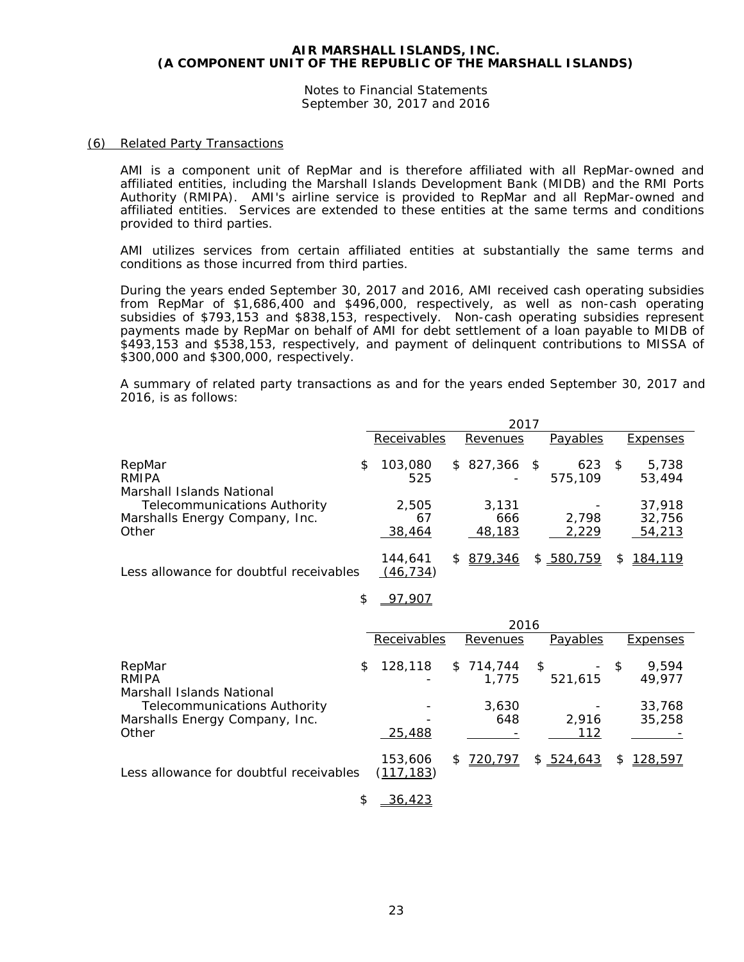Notes to Financial Statements September 30, 2017 and 2016

#### (6) Related Party Transactions

AMI is a component unit of RepMar and is therefore affiliated with all RepMar-owned and affiliated entities, including the Marshall Islands Development Bank (MIDB) and the RMI Ports Authority (RMIPA). AMI's airline service is provided to RepMar and all RepMar-owned and affiliated entities. Services are extended to these entities at the same terms and conditions provided to third parties.

AMI utilizes services from certain affiliated entities at substantially the same terms and conditions as those incurred from third parties.

During the years ended September 30, 2017 and 2016, AMI received cash operating subsidies from RepMar of \$1,686,400 and \$496,000, respectively, as well as non-cash operating subsidies of \$793,153 and \$838,153, respectively. Non-cash operating subsidies represent payments made by RepMar on behalf of AMI for debt settlement of a loan payable to MIDB of \$493,153 and \$538,153, respectively, and payment of delinquent contributions to MISSA of \$300,000 and \$300,000, respectively.

A summary of related party transactions as and for the years ended September 30, 2017 and 2016, is as follows:

|                                         |   |                      |    | 2017      |      |                |   |                 |
|-----------------------------------------|---|----------------------|----|-----------|------|----------------|---|-----------------|
|                                         |   | Receivables          |    | Revenues  |      | Payables       |   | Expenses        |
| RepMar<br>RMIPA                         | S | 103,080<br>525       |    | \$827,366 | - \$ | 623<br>575,109 | S | 5,738<br>53,494 |
| Marshall Islands National               |   |                      |    |           |      |                |   |                 |
| <b>Telecommunications Authority</b>     |   | 2,505                |    | 3,131     |      |                |   | 37,918          |
| Marshalls Energy Company, Inc.          |   | 67                   |    | 666       |      | 2.798          |   | 32,756          |
| Other                                   |   | 38,464               |    | 48,183    |      | 2,229          |   | 54,213          |
| Less allowance for doubtful receivables |   | 144,641<br>(46, 734) | S. | 879.346   |      | \$580.759      | S | 184,119         |

\$ 97,907

|                                         |                       |   | 2016      |    |            |      |                 |
|-----------------------------------------|-----------------------|---|-----------|----|------------|------|-----------------|
|                                         | Receivables           |   | Revenues  |    | Payables   |      | <b>Expenses</b> |
| RepMar                                  | \$<br>128,118         |   | \$714,744 | -S |            | $-5$ | 9,594           |
| RMIPA                                   |                       |   | 1.775     |    | 521,615    |      | 49,977          |
| Marshall Islands National               |                       |   |           |    |            |      |                 |
| <b>Telecommunications Authority</b>     |                       |   | 3.630     |    |            |      | 33,768          |
| Marshalls Energy Company, Inc.          |                       |   | 648       |    | 2.916      |      | 35,258          |
| Other                                   | 25,488                |   |           |    | 112        |      |                 |
| Less allowance for doubtful receivables | 153,606<br>(117, 183) | S | 720,797   |    | \$ 524,643 | S    | 128,597         |

\$ 36,423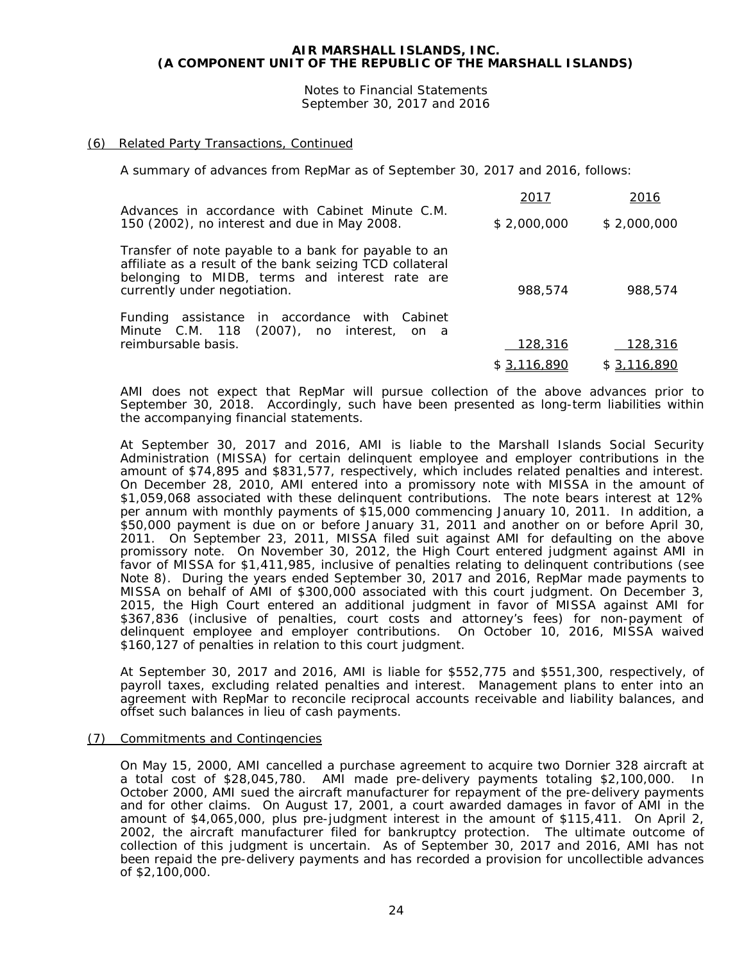Notes to Financial Statements September 30, 2017 and 2016

# (6) Related Party Transactions, Continued

A summary of advances from RepMar as of September 30, 2017 and 2016, follows:

| Advances in accordance with Cabinet Minute C.M.<br>\$2,000,000<br>150 (2002), no interest and due in May 2008.                                                                                                | \$2,000,000 |
|---------------------------------------------------------------------------------------------------------------------------------------------------------------------------------------------------------------|-------------|
|                                                                                                                                                                                                               |             |
| Transfer of note payable to a bank for payable to an<br>affiliate as a result of the bank seizing TCD collateral<br>belonging to MIDB, terms and interest rate are<br>currently under negotiation.<br>988,574 | 988,574     |
| Funding assistance in accordance with Cabinet<br>Minute C.M. 118 (2007), no interest, on a                                                                                                                    |             |
| reimbursable basis.<br>128,316                                                                                                                                                                                | 128,316     |
| \$3,116,890                                                                                                                                                                                                   | \$3,116,890 |

AMI does not expect that RepMar will pursue collection of the above advances prior to September 30, 2018. Accordingly, such have been presented as long-term liabilities within the accompanying financial statements.

At September 30, 2017 and 2016, AMI is liable to the Marshall Islands Social Security Administration (MISSA) for certain delinquent employee and employer contributions in the amount of \$74,895 and \$831,577, respectively, which includes related penalties and interest. On December 28, 2010, AMI entered into a promissory note with MISSA in the amount of \$1,059,068 associated with these delinquent contributions. The note bears interest at 12% per annum with monthly payments of \$15,000 commencing January 10, 2011. In addition, a \$50,000 payment is due on or before January 31, 2011 and another on or before April 30, 2011. On September 23, 2011, MISSA filed suit against AMI for defaulting on the above promissory note. On November 30, 2012, the High Court entered judgment against AMI in favor of MISSA for \$1,411,985, inclusive of penalties relating to delinquent contributions (see Note 8). During the years ended September 30, 2017 and 2016, RepMar made payments to MISSA on behalf of AMI of \$300,000 associated with this court judgment. On December 3, 2015, the High Court entered an additional judgment in favor of MISSA against AMI for \$367,836 (inclusive of penalties, court costs and attorney's fees) for non-payment of delinquent employee and employer contributions. On October 10, 2016, MISSA waived \$160,127 of penalties in relation to this court judgment.

At September 30, 2017 and 2016, AMI is liable for \$552,775 and \$551,300, respectively, of payroll taxes, excluding related penalties and interest. Management plans to enter into an agreement with RepMar to reconcile reciprocal accounts receivable and liability balances, and offset such balances in lieu of cash payments.

# (7) Commitments and Contingencies

On May 15, 2000, AMI cancelled a purchase agreement to acquire two Dornier 328 aircraft at a total cost of \$28,045,780. AMI made pre-delivery payments totaling \$2,100,000. In October 2000, AMI sued the aircraft manufacturer for repayment of the pre-delivery payments and for other claims. On August 17, 2001, a court awarded damages in favor of AMI in the amount of \$4,065,000, plus pre-judgment interest in the amount of \$115,411. On April 2, 2002, the aircraft manufacturer filed for bankruptcy protection. The ultimate outcome of collection of this judgment is uncertain. As of September 30, 2017 and 2016, AMI has not been repaid the pre-delivery payments and has recorded a provision for uncollectible advances of \$2,100,000.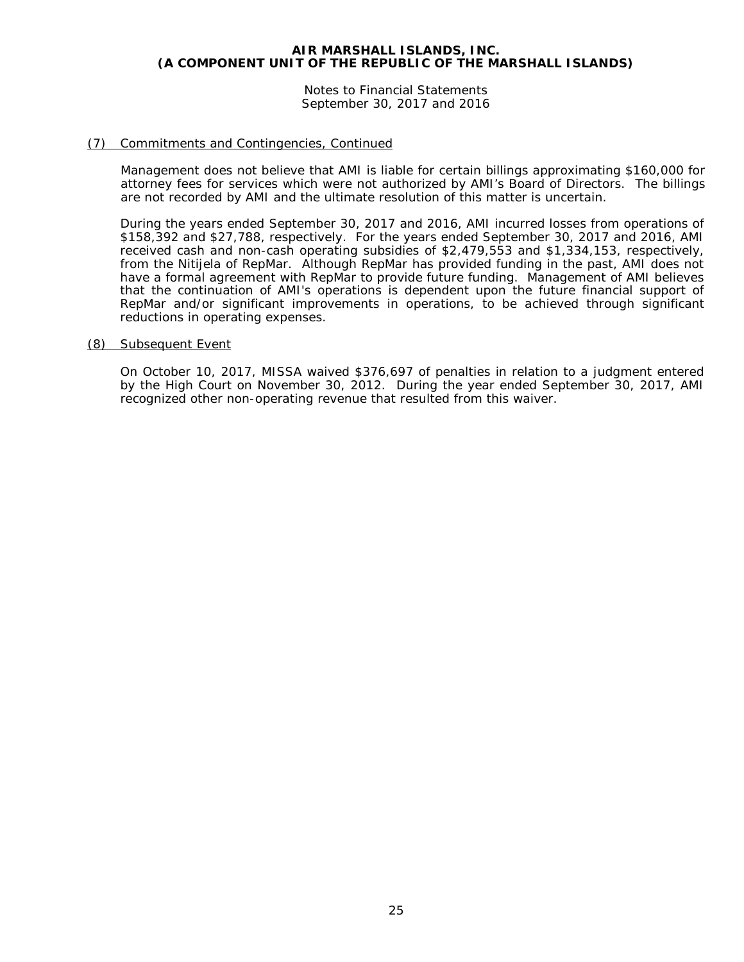Notes to Financial Statements September 30, 2017 and 2016

# (7) Commitments and Contingencies, Continued

Management does not believe that AMI is liable for certain billings approximating \$160,000 for attorney fees for services which were not authorized by AMI's Board of Directors. The billings are not recorded by AMI and the ultimate resolution of this matter is uncertain.

During the years ended September 30, 2017 and 2016, AMI incurred losses from operations of \$158,392 and \$27,788, respectively. For the years ended September 30, 2017 and 2016, AMI received cash and non-cash operating subsidies of \$2,479,553 and \$1,334,153, respectively, from the Nitijela of RepMar. Although RepMar has provided funding in the past, AMI does not have a formal agreement with RepMar to provide future funding. Management of AMI believes that the continuation of AMI's operations is dependent upon the future financial support of RepMar and/or significant improvements in operations, to be achieved through significant reductions in operating expenses.

#### (8) Subsequent Event

On October 10, 2017, MISSA waived \$376,697 of penalties in relation to a judgment entered by the High Court on November 30, 2012. During the year ended September 30, 2017, AMI recognized other non-operating revenue that resulted from this waiver.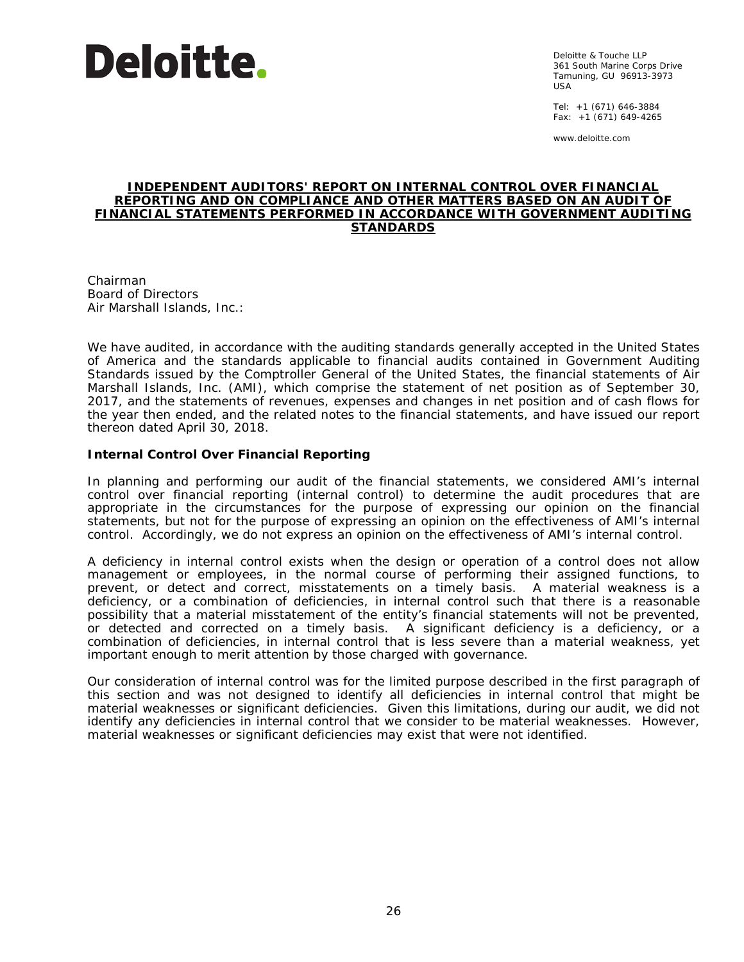

Deloitte & Touche LLP 361 South Marine Corps Drive Tamuning, GU 96913-3973 USA

Tel: +1 (671) 646-3884 Fax: +1 (671) 649-4265

www.deloitte.com

#### **INDEPENDENT AUDITORS' REPORT ON INTERNAL CONTROL OVER FINANCIAL REPORTING AND ON COMPLIANCE AND OTHER MATTERS BASED ON AN AUDIT OF FINANCIAL STATEMENTS PERFORMED IN ACCORDANCE WITH** *GOVERNMENT AUDITING STANDARDS*

Chairman Board of Directors Air Marshall Islands, Inc.:

We have audited, in accordance with the auditing standards generally accepted in the United States of America and the standards applicable to financial audits contained in *Government Auditing Standards* issued by the Comptroller General of the United States, the financial statements of Air Marshall Islands, Inc. (AMI), which comprise the statement of net position as of September 30, 2017, and the statements of revenues, expenses and changes in net position and of cash flows for the year then ended, and the related notes to the financial statements, and have issued our report thereon dated April 30, 2018.

# **Internal Control Over Financial Reporting**

In planning and performing our audit of the financial statements, we considered AMI's internal control over financial reporting (internal control) to determine the audit procedures that are appropriate in the circumstances for the purpose of expressing our opinion on the financial statements, but not for the purpose of expressing an opinion on the effectiveness of AMI's internal control. Accordingly, we do not express an opinion on the effectiveness of AMI's internal control.

A *deficiency in internal control* exists when the design or operation of a control does not allow management or employees, in the normal course of performing their assigned functions, to prevent, or detect and correct, misstatements on a timely basis. A *material weakness* is a deficiency, or a combination of deficiencies, in internal control such that there is a reasonable possibility that a material misstatement of the entity's financial statements will not be prevented, or detected and corrected on a timely basis. A *significant deficiency* is a deficiency, or a combination of deficiencies, in internal control that is less severe than a material weakness, yet important enough to merit attention by those charged with governance.

Our consideration of internal control was for the limited purpose described in the first paragraph of this section and was not designed to identify all deficiencies in internal control that might be material weaknesses or significant deficiencies. Given this limitations, during our audit, we did not identify any deficiencies in internal control that we consider to be material weaknesses. However, material weaknesses or significant deficiencies may exist that were not identified.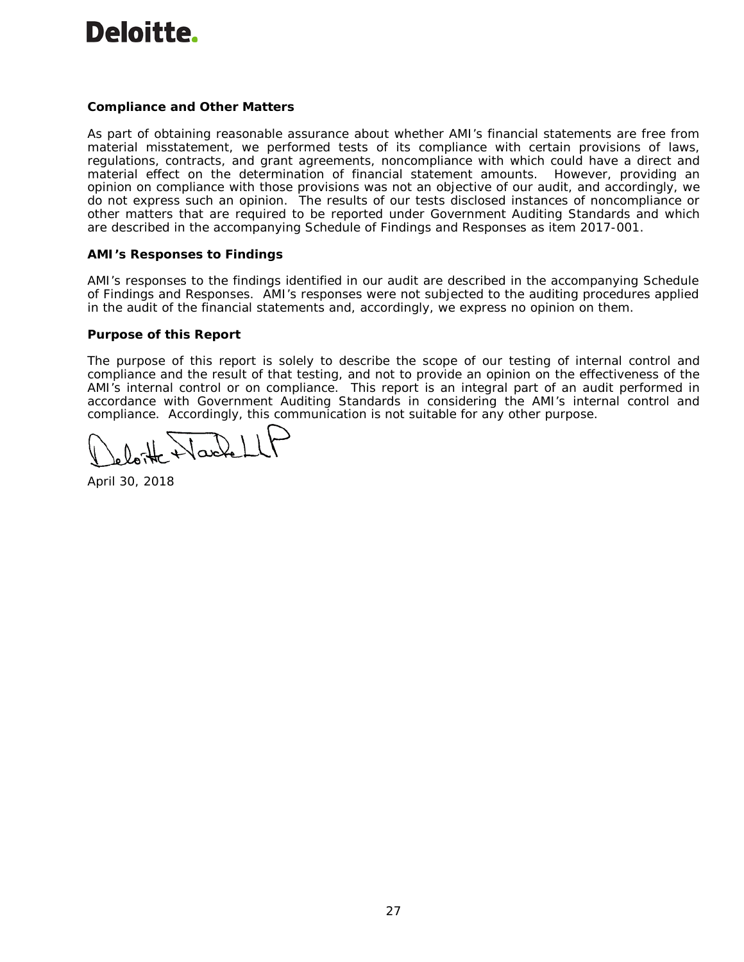# **Deloitte**

# **Compliance and Other Matters**

As part of obtaining reasonable assurance about whether AMI's financial statements are free from material misstatement, we performed tests of its compliance with certain provisions of laws, regulations, contracts, and grant agreements, noncompliance with which could have a direct and material effect on the determination of financial statement amounts. However, providing an opinion on compliance with those provisions was not an objective of our audit, and accordingly, we do not express such an opinion. The results of our tests disclosed instances of noncompliance or other matters that are required to be reported under *Government Auditing Standards* and which are described in the accompanying Schedule of Findings and Responses as item 2017-001.

# **AMI's Responses to Findings**

AMI's responses to the findings identified in our audit are described in the accompanying Schedule of Findings and Responses. AMI's responses were not subjected to the auditing procedures applied in the audit of the financial statements and, accordingly, we express no opinion on them.

#### **Purpose of this Report**

The purpose of this report is solely to describe the scope of our testing of internal control and compliance and the result of that testing, and not to provide an opinion on the effectiveness of the AMI's internal control or on compliance. This report is an integral part of an audit performed in accordance with *Government Auditing Standards* in considering the AMI's internal control and compliance. Accordingly, this communication is not suitable for any other purpose.

April 30, 2018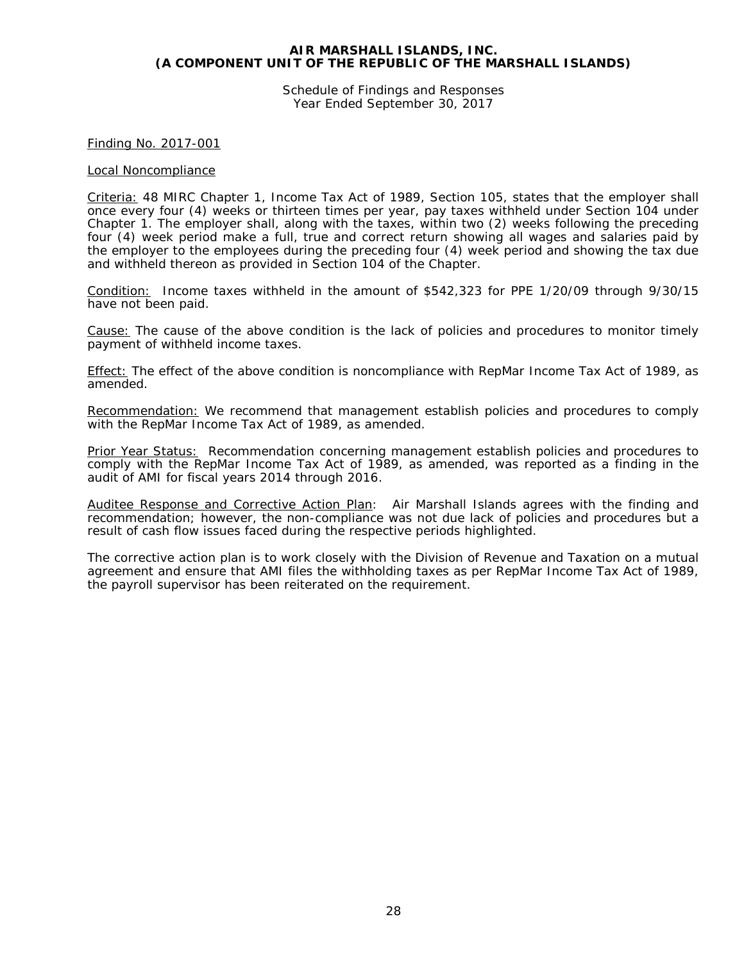Schedule of Findings and Responses Year Ended September 30, 2017

Finding No. 2017-001

#### Local Noncompliance

Criteria: 48 MIRC Chapter 1, Income Tax Act of 1989, Section 105, states that the employer shall once every four (4) weeks or thirteen times per year, pay taxes withheld under Section 104 under Chapter 1. The employer shall, along with the taxes, within two (2) weeks following the preceding four (4) week period make a full, true and correct return showing all wages and salaries paid by the employer to the employees during the preceding four (4) week period and showing the tax due and withheld thereon as provided in Section 104 of the Chapter.

Condition: Income taxes withheld in the amount of \$542,323 for PPE 1/20/09 through 9/30/15 have not been paid.

Cause: The cause of the above condition is the lack of policies and procedures to monitor timely payment of withheld income taxes.

Effect: The effect of the above condition is noncompliance with RepMar Income Tax Act of 1989, as amended.

Recommendation: We recommend that management establish policies and procedures to comply with the RepMar Income Tax Act of 1989, as amended.

Prior Year Status: Recommendation concerning management establish policies and procedures to comply with the RepMar Income Tax Act of 1989, as amended, was reported as a finding in the audit of AMI for fiscal years 2014 through 2016.

Auditee Response and Corrective Action Plan: Air Marshall Islands agrees with the finding and recommendation; however, the non-compliance was not due lack of policies and procedures but a result of cash flow issues faced during the respective periods highlighted.

The corrective action plan is to work closely with the Division of Revenue and Taxation on a mutual agreement and ensure that AMI files the withholding taxes as per RepMar Income Tax Act of 1989, the payroll supervisor has been reiterated on the requirement.